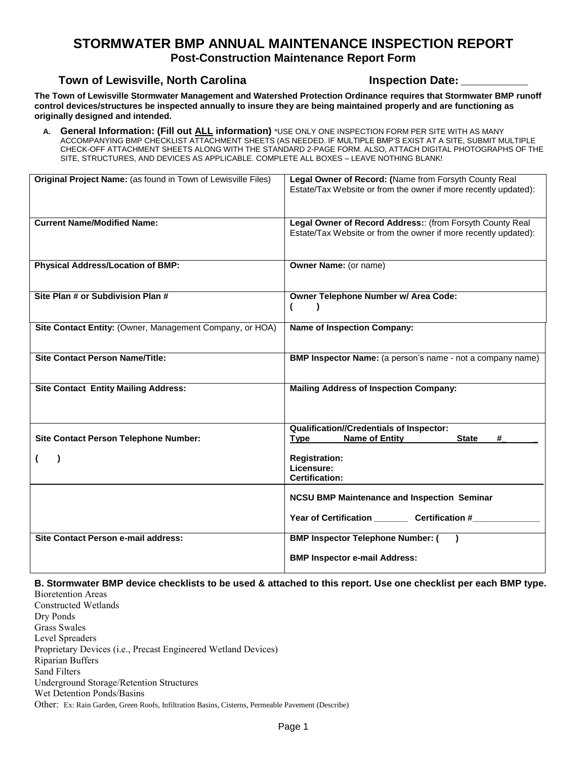### **STORMWATER BMP ANNUAL MAINTENANCE INSPECTION REPORT**

**Post-Construction Maintenance Report Form**

#### **Town of Lewisville, North Carolina Inspection Date:** \_\_\_\_\_\_\_\_\_\_\_\_\_\_

**The Town of Lewisville Stormwater Management and Watershed Protection Ordinance requires that Stormwater BMP runoff control devices/structures be inspected annually to insure they are being maintained properly and are functioning as originally designed and intended.**

**A. General Information: (Fill out ALL information)** \*USE ONLY ONE INSPECTION FORM PER SITE WITH AS MANY ACCOMPANYING BMP CHECKLIST ATTACHMENT SHEETS (AS NEEDED. IF MULTIPLE BMP'S EXIST AT A SITE, SUBMIT MULTIPLE CHECK-OFF ATTACHMENT SHEETS ALONG WITH THE STANDARD 2-PAGE FORM. ALSO, ATTACH DIGITAL PHOTOGRAPHS OF THE SITE, STRUCTURES, AND DEVICES AS APPLICABLE. COMPLETE ALL BOXES – LEAVE NOTHING BLANK!

| Original Project Name: (as found in Town of Lewisville Files) | Legal Owner of Record: (Name from Forsyth County Real<br>Estate/Tax Website or from the owner if more recently updated):     |  |  |
|---------------------------------------------------------------|------------------------------------------------------------------------------------------------------------------------------|--|--|
| <b>Current Name/Modified Name:</b>                            | Legal Owner of Record Address:: (from Forsyth County Real<br>Estate/Tax Website or from the owner if more recently updated): |  |  |
| <b>Physical Address/Location of BMP:</b>                      | <b>Owner Name:</b> (or name)                                                                                                 |  |  |
| Site Plan # or Subdivision Plan #                             | Owner Telephone Number w/ Area Code:                                                                                         |  |  |
| Site Contact Entity: (Owner, Management Company, or HOA)      | <b>Name of Inspection Company:</b>                                                                                           |  |  |
| <b>Site Contact Person Name/Title:</b>                        | <b>BMP Inspector Name:</b> (a person's name - not a company name)                                                            |  |  |
| <b>Site Contact Entity Mailing Address:</b>                   | <b>Mailing Address of Inspection Company:</b>                                                                                |  |  |
| <b>Site Contact Person Telephone Number:</b>                  | <b>Qualification//Credentials of Inspector:</b><br><b>Name of Entity</b><br><b>State</b><br><b>Type</b><br>#                 |  |  |
|                                                               | <b>Registration:</b><br>Licensure:<br><b>Certification:</b>                                                                  |  |  |
|                                                               | <b>NCSU BMP Maintenance and Inspection Seminar</b>                                                                           |  |  |
|                                                               | Year of Certification Certification #                                                                                        |  |  |
| <b>Site Contact Person e-mail address:</b>                    | <b>BMP Inspector Telephone Number: (</b>                                                                                     |  |  |
|                                                               | <b>BMP Inspector e-mail Address:</b>                                                                                         |  |  |

**B. Stormwater BMP device checklists to be used & attached to this report. Use one checklist per each BMP type.**  Bioretention Areas

Constructed Wetlands Dry Ponds Grass Swales Level Spreaders Proprietary Devices (i.e., Precast Engineered Wetland Devices) Riparian Buffers Sand Filters Underground Storage/Retention Structures Wet Detention Ponds/Basins Other: Ex: Rain Garden, Green Roofs, Infiltration Basins, Cisterns, Permeable Pavement (Describe)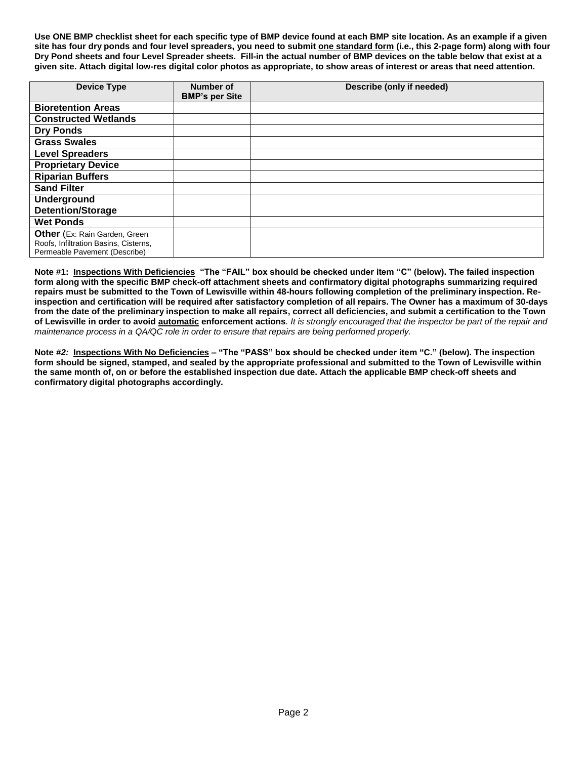**Use ONE BMP checklist sheet for each specific type of BMP device found at each BMP site location. As an example if a given site has four dry ponds and four level spreaders, you need to submit one standard form (i.e., this 2-page form) along with four Dry Pond sheets and four Level Spreader sheets. Fill-in the actual number of BMP devices on the table below that exist at a given site. Attach digital low-res digital color photos as appropriate, to show areas of interest or areas that need attention.** 

| <b>Device Type</b>                                                                                             | Number of<br><b>BMP's per Site</b> | Describe (only if needed) |
|----------------------------------------------------------------------------------------------------------------|------------------------------------|---------------------------|
| <b>Bioretention Areas</b>                                                                                      |                                    |                           |
| <b>Constructed Wetlands</b>                                                                                    |                                    |                           |
| <b>Dry Ponds</b>                                                                                               |                                    |                           |
| <b>Grass Swales</b>                                                                                            |                                    |                           |
| <b>Level Spreaders</b>                                                                                         |                                    |                           |
| <b>Proprietary Device</b>                                                                                      |                                    |                           |
| <b>Riparian Buffers</b>                                                                                        |                                    |                           |
| <b>Sand Filter</b>                                                                                             |                                    |                           |
| <b>Underground</b>                                                                                             |                                    |                           |
| <b>Detention/Storage</b>                                                                                       |                                    |                           |
| <b>Wet Ponds</b>                                                                                               |                                    |                           |
| <b>Other</b> (Ex: Rain Garden, Green<br>Roofs, Infiltration Basins, Cisterns,<br>Permeable Pavement (Describe) |                                    |                           |

**Note #1: Inspections With Deficiencies "The "FAIL" box should be checked under item "C" (below). The failed inspection form along with the specific BMP check-off attachment sheets and confirmatory digital photographs summarizing required repairs must be submitted to the Town of Lewisville within 48-hours following completion of the preliminary inspection. Reinspection and certification will be required after satisfactory completion of all repairs. The Owner has a maximum of 30-days from the date of the preliminary inspection to make all repairs, correct all deficiencies, and submit a certification to the Town of Lewisville in order to avoid automatic enforcement actions***. It is strongly encouraged that the inspector be part of the repair and maintenance process in a QA/QC role in order to ensure that repairs are being performed properly.* 

**Note** *#2:* **Inspections With No Deficiencies** *–* **"The "PASS" box should be checked under item "C." (below). The inspection form should be signed, stamped, and sealed by the appropriate professional and submitted to the Town of Lewisville within the same month of, on or before the established inspection due date. Attach the applicable BMP check-off sheets and confirmatory digital photographs accordingly.**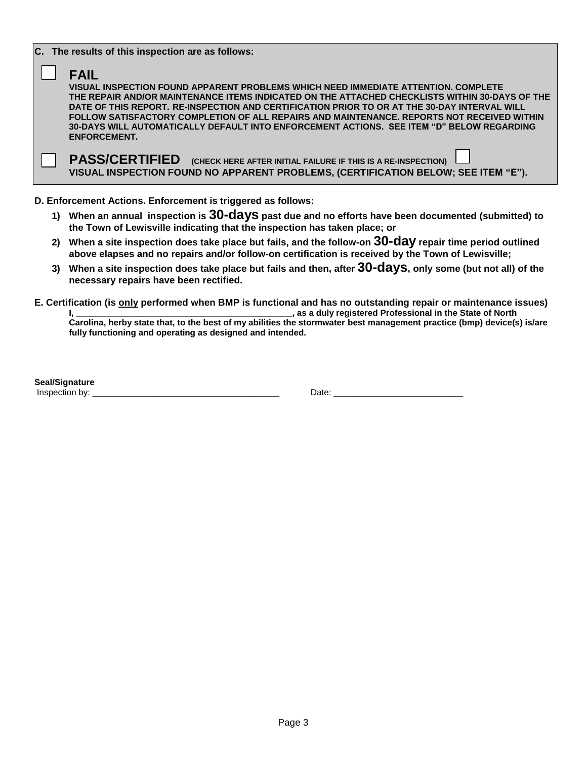|  | C. The results of this inspection are as follows:                                                                                                                                          |
|--|--------------------------------------------------------------------------------------------------------------------------------------------------------------------------------------------|
|  | <b>FAIL</b>                                                                                                                                                                                |
|  | VISUAL INSPECTION FOUND APPARENT PROBLEMS WHICH NEED IMMEDIATE ATTENTION. COMPLETE                                                                                                         |
|  | THE REPAIR AND/OR MAINTENANCE ITEMS INDICATED ON THE ATTACHED CHECKLISTS WITHIN 30-DAYS OF THE                                                                                             |
|  | DATE OF THIS REPORT. RE-INSPECTION AND CERTIFICATION PRIOR TO OR AT THE 30-DAY INTERVAL WILL<br>FOLLOW SATISFACTORY COMPLETION OF ALL REPAIRS AND MAINTENANCE. REPORTS NOT RECEIVED WITHIN |
|  | 30-DAYS WILL AUTOMATICALLY DEFAULT INTO ENFORCEMENT ACTIONS. SEE ITEM "D" BELOW REGARDING                                                                                                  |
|  | <b>ENFORCEMENT.</b>                                                                                                                                                                        |
|  |                                                                                                                                                                                            |
|  | <b>PASS/CERTIFIED</b><br>(CHECK HERE AFTER INITIAL FAILURE IF THIS IS A RE-INSPECTION)                                                                                                     |
|  | VISUAL INSPECTION FOUND NO APPARENT PROBLEMS, (CERTIFICATION BELOW; SEE ITEM "E").                                                                                                         |
|  |                                                                                                                                                                                            |

**D. Enforcement Actions. Enforcement is triggered as follows:** 

- **1) When an annual inspection is 30-days past due and no efforts have been documented (submitted) to the Town of Lewisville indicating that the inspection has taken place; or**
- **2) When a site inspection does take place but fails, and the follow-on 30-day repair time period outlined above elapses and no repairs and/or follow-on certification is received by the Town of Lewisville;**
- **3) When a site inspection does take place but fails and then, after 30-days, only some (but not all) of the necessary repairs have been rectified.**
- **E. Certification (is only performed when BMP is functional and has no outstanding repair or maintenance issues) I**, as a duly registered Professional in the State of North

**Carolina, herby state that, to the best of my abilities the stormwater best management practice (bmp) device(s) is/are fully functioning and operating as designed and intended.**

**Seal/Signature** Inspection by: \_\_\_\_\_\_\_\_\_\_\_\_\_\_\_\_\_\_\_\_\_\_\_\_\_\_\_\_\_\_\_\_\_\_\_\_\_\_\_ Date: \_\_\_\_\_\_\_\_\_\_\_\_\_\_\_\_\_\_\_\_\_\_\_\_\_\_\_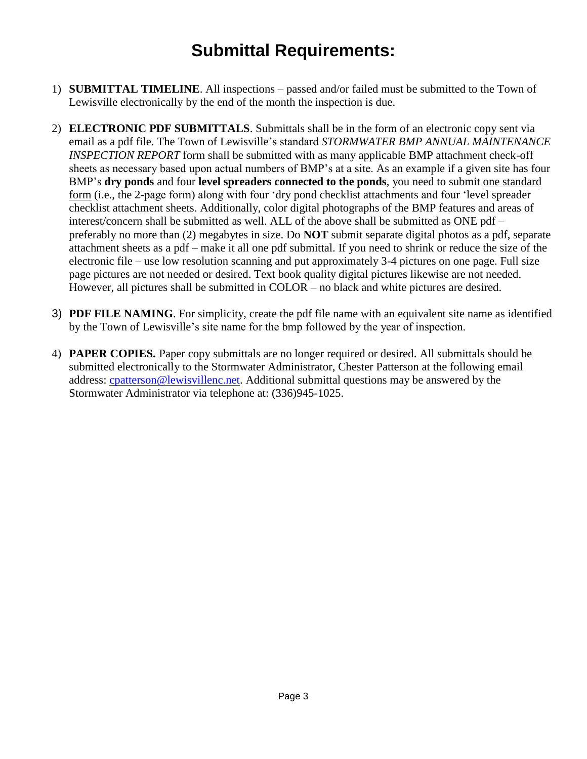# **Submittal Requirements:**

- 1) **SUBMITTAL TIMELINE**. All inspections passed and/or failed must be submitted to the Town of Lewisville electronically by the end of the month the inspection is due.
- 2) **ELECTRONIC PDF SUBMITTALS**. Submittals shall be in the form of an electronic copy sent via email as a pdf file. The Town of Lewisville's standard *STORMWATER BMP ANNUAL MAINTENANCE INSPECTION REPORT* form shall be submitted with as many applicable BMP attachment check-off sheets as necessary based upon actual numbers of BMP's at a site. As an example if a given site has four BMP's **dry ponds** and four **level spreaders connected to the ponds**, you need to submit one standard form (i.e., the 2-page form) along with four 'dry pond checklist attachments and four 'level spreader checklist attachment sheets. Additionally, color digital photographs of the BMP features and areas of interest/concern shall be submitted as well. ALL of the above shall be submitted as ONE pdf – preferably no more than (2) megabytes in size. Do **NOT** submit separate digital photos as a pdf, separate attachment sheets as a pdf – make it all one pdf submittal. If you need to shrink or reduce the size of the electronic file – use low resolution scanning and put approximately 3-4 pictures on one page. Full size page pictures are not needed or desired. Text book quality digital pictures likewise are not needed. However, all pictures shall be submitted in COLOR – no black and white pictures are desired.
- 3) **PDF FILE NAMING**. For simplicity, create the pdf file name with an equivalent site name as identified by the Town of Lewisville's site name for the bmp followed by the year of inspection.
- 4) **PAPER COPIES.** Paper copy submittals are no longer required or desired. All submittals should be submitted electronically to the Stormwater Administrator, Chester Patterson at the following email address: [cpatterson@lewisvillenc.net.](mailto:cpatterson@lewisvillenc.net) Additional submittal questions may be answered by the Stormwater Administrator via telephone at: (336)945-1025.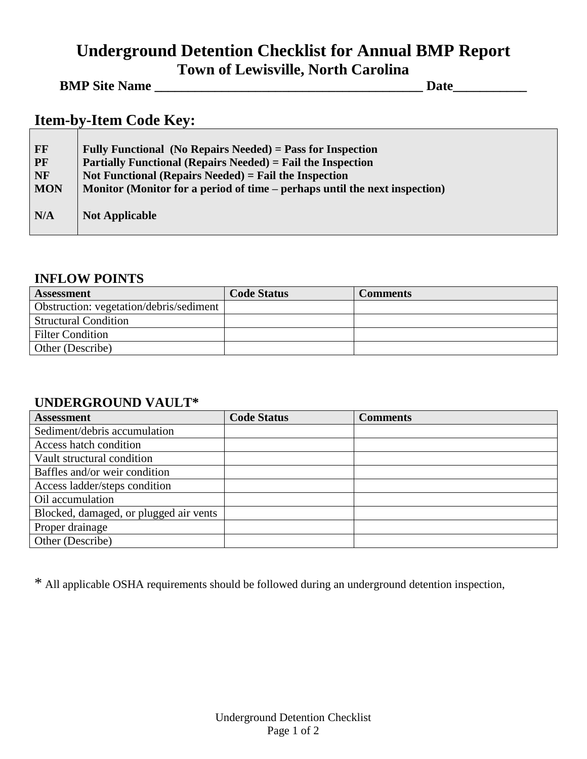# **Underground Detention Checklist for Annual BMP Report Town of Lewisville, North Carolina**

### **BMP Site Name \_\_\_\_\_\_\_\_\_\_\_\_\_\_\_\_\_\_\_\_\_\_\_\_\_\_\_\_\_\_\_\_\_\_\_\_\_\_\_\_ Date\_\_\_\_\_\_\_\_\_\_\_**

# **Item-by-Item Code Key:**

| FF<br><b>PF</b><br>NF | Fully Functional (No Repairs Needed) = Pass for Inspection<br><b>Partially Functional (Repairs Needed)</b> = Fail the Inspection<br>Not Functional (Repairs Needed) = Fail the Inspection |
|-----------------------|-------------------------------------------------------------------------------------------------------------------------------------------------------------------------------------------|
| <b>MON</b>            | Monitor (Monitor for a period of time – perhaps until the next inspection)                                                                                                                |
| N/A                   | <b>Not Applicable</b>                                                                                                                                                                     |

#### **INFLOW POINTS**

| <b>Assessment</b>                       | <b>Code Status</b> | <b>Comments</b> |
|-----------------------------------------|--------------------|-----------------|
| Obstruction: vegetation/debris/sediment |                    |                 |
| <b>Structural Condition</b>             |                    |                 |
| <b>Filter Condition</b>                 |                    |                 |
| Other (Describe)                        |                    |                 |

### **UNDERGROUND VAULT\***

| <b>Assessment</b>                      | <b>Code Status</b> | <b>Comments</b> |
|----------------------------------------|--------------------|-----------------|
| Sediment/debris accumulation           |                    |                 |
| Access hatch condition                 |                    |                 |
| Vault structural condition             |                    |                 |
| Baffles and/or weir condition          |                    |                 |
| Access ladder/steps condition          |                    |                 |
| Oil accumulation                       |                    |                 |
| Blocked, damaged, or plugged air vents |                    |                 |
| Proper drainage                        |                    |                 |
| Other (Describe)                       |                    |                 |

\* All applicable OSHA requirements should be followed during an underground detention inspection,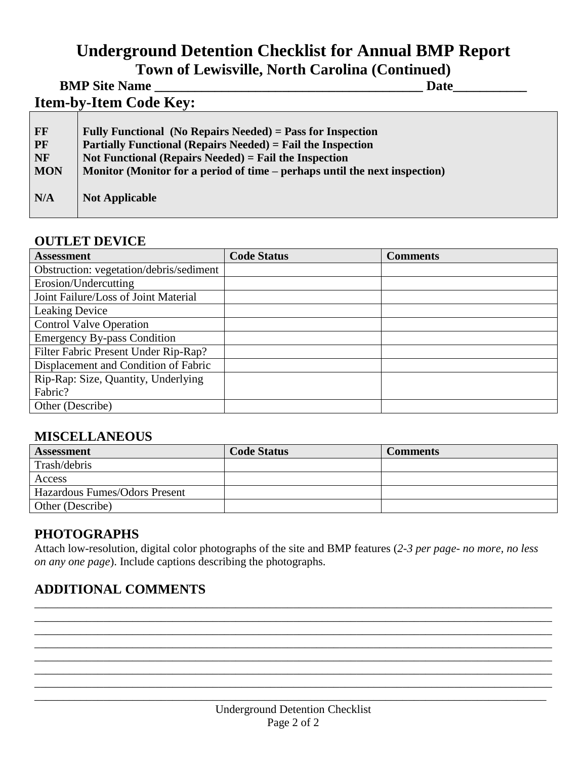# **Underground Detention Checklist for Annual BMP Report**

**Town of Lewisville, North Carolina (Continued)**

|                                            | <b>BMP Site Name</b>                                                                                                                                                                                                                                                    | Date |
|--------------------------------------------|-------------------------------------------------------------------------------------------------------------------------------------------------------------------------------------------------------------------------------------------------------------------------|------|
|                                            | <b>Item-by-Item Code Key:</b>                                                                                                                                                                                                                                           |      |
| FF<br><b>PF</b><br><b>NF</b><br><b>MON</b> | Fully Functional (No Repairs Needed) = Pass for Inspection<br><b>Partially Functional (Repairs Needed) = Fail the Inspection</b><br>Not Functional (Repairs Needed) = Fail the Inspection<br>Monitor (Monitor for a period of time – perhaps until the next inspection) |      |

**N/A Not Applicable** 

#### **OUTLET DEVICE**

| <b>Assessment</b>                       | <b>Code Status</b> | <b>Comments</b> |
|-----------------------------------------|--------------------|-----------------|
| Obstruction: vegetation/debris/sediment |                    |                 |
| Erosion/Undercutting                    |                    |                 |
| Joint Failure/Loss of Joint Material    |                    |                 |
| <b>Leaking Device</b>                   |                    |                 |
| <b>Control Valve Operation</b>          |                    |                 |
| <b>Emergency By-pass Condition</b>      |                    |                 |
| Filter Fabric Present Under Rip-Rap?    |                    |                 |
| Displacement and Condition of Fabric    |                    |                 |
| Rip-Rap: Size, Quantity, Underlying     |                    |                 |
| Fabric?                                 |                    |                 |
| Other (Describe)                        |                    |                 |

## **MISCELLANEOUS**

| <b>Assessment</b>             | <b>Code Status</b> | <b>Comments</b> |
|-------------------------------|--------------------|-----------------|
| Trash/debris                  |                    |                 |
| Access                        |                    |                 |
| Hazardous Fumes/Odors Present |                    |                 |
| Other (Describe)              |                    |                 |

## **PHOTOGRAPHS**

Attach low-resolution, digital color photographs of the site and BMP features (*2-3 per page- no more, no less on any one page*). Include captions describing the photographs.

\_\_\_\_\_\_\_\_\_\_\_\_\_\_\_\_\_\_\_\_\_\_\_\_\_\_\_\_\_\_\_\_\_\_\_\_\_\_\_\_\_\_\_\_\_\_\_\_\_\_\_\_\_\_\_\_\_\_\_\_\_\_\_\_\_\_\_\_\_\_\_\_\_\_\_\_\_\_\_\_\_\_\_\_\_\_\_\_\_\_ \_\_\_\_\_\_\_\_\_\_\_\_\_\_\_\_\_\_\_\_\_\_\_\_\_\_\_\_\_\_\_\_\_\_\_\_\_\_\_\_\_\_\_\_\_\_\_\_\_\_\_\_\_\_\_\_\_\_\_\_\_\_\_\_\_\_\_\_\_\_\_\_\_\_\_\_\_\_\_\_\_\_\_\_\_\_\_\_\_\_ \_\_\_\_\_\_\_\_\_\_\_\_\_\_\_\_\_\_\_\_\_\_\_\_\_\_\_\_\_\_\_\_\_\_\_\_\_\_\_\_\_\_\_\_\_\_\_\_\_\_\_\_\_\_\_\_\_\_\_\_\_\_\_\_\_\_\_\_\_\_\_\_\_\_\_\_\_\_\_\_\_\_\_\_\_\_\_\_\_\_ \_\_\_\_\_\_\_\_\_\_\_\_\_\_\_\_\_\_\_\_\_\_\_\_\_\_\_\_\_\_\_\_\_\_\_\_\_\_\_\_\_\_\_\_\_\_\_\_\_\_\_\_\_\_\_\_\_\_\_\_\_\_\_\_\_\_\_\_\_\_\_\_\_\_\_\_\_\_\_\_\_\_\_\_\_\_\_\_\_\_ \_\_\_\_\_\_\_\_\_\_\_\_\_\_\_\_\_\_\_\_\_\_\_\_\_\_\_\_\_\_\_\_\_\_\_\_\_\_\_\_\_\_\_\_\_\_\_\_\_\_\_\_\_\_\_\_\_\_\_\_\_\_\_\_\_\_\_\_\_\_\_\_\_\_\_\_\_\_\_\_\_\_\_\_\_\_\_\_\_\_ \_\_\_\_\_\_\_\_\_\_\_\_\_\_\_\_\_\_\_\_\_\_\_\_\_\_\_\_\_\_\_\_\_\_\_\_\_\_\_\_\_\_\_\_\_\_\_\_\_\_\_\_\_\_\_\_\_\_\_\_\_\_\_\_\_\_\_\_\_\_\_\_\_\_\_\_\_\_\_\_\_\_\_\_\_\_\_\_\_\_ \_\_\_\_\_\_\_\_\_\_\_\_\_\_\_\_\_\_\_\_\_\_\_\_\_\_\_\_\_\_\_\_\_\_\_\_\_\_\_\_\_\_\_\_\_\_\_\_\_\_\_\_\_\_\_\_\_\_\_\_\_\_\_\_\_\_\_\_\_\_\_\_\_\_\_\_\_\_\_\_\_\_\_\_\_\_\_\_\_

#### **ADDITIONAL COMMENTS**  \_\_\_\_\_\_\_\_\_\_\_\_\_\_\_\_\_\_\_\_\_\_\_\_\_\_\_\_\_\_\_\_\_\_\_\_\_\_\_\_\_\_\_\_\_\_\_\_\_\_\_\_\_\_\_\_\_\_\_\_\_\_\_\_\_\_\_\_\_\_\_\_\_\_\_\_\_\_\_\_\_\_\_\_\_\_\_\_\_\_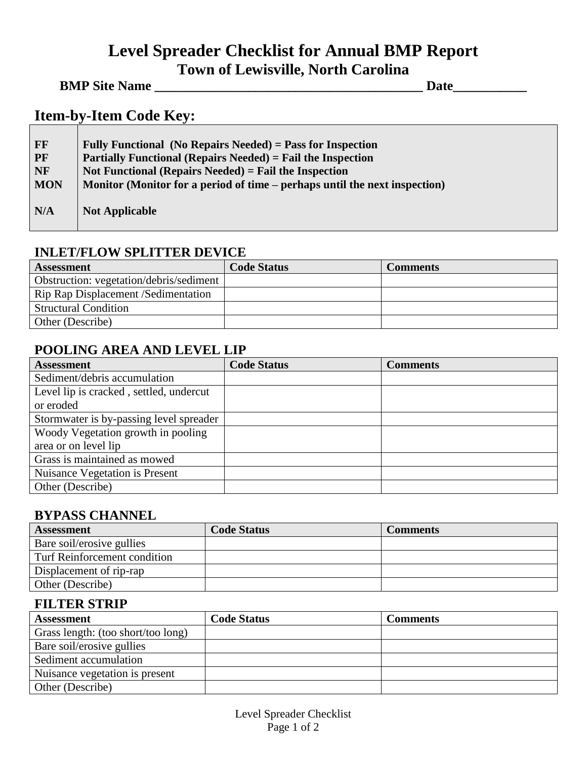# **Level Spreader Checklist for Annual BMP Report Town of Lewisville, North Carolina**

#### **BMP Site Name \_\_\_\_\_\_\_\_\_\_\_\_\_\_\_\_\_\_\_\_\_\_\_\_\_\_\_\_\_\_\_\_\_\_\_\_\_\_\_\_ Date\_\_\_\_\_\_\_\_\_\_\_**

# **Item-by-Item Code Key:**

| FF<br>PF   | Fully Functional (No Repairs Needed) = Pass for Inspection<br><b>Partially Functional (Repairs Needed)</b> = Fail the Inspection |
|------------|----------------------------------------------------------------------------------------------------------------------------------|
| <b>NF</b>  | Not Functional (Repairs Needed) = Fail the Inspection                                                                            |
| <b>MON</b> | Monitor (Monitor for a period of time – perhaps until the next inspection)                                                       |
| N/A        | <b>Not Applicable</b>                                                                                                            |

#### **INLET/FLOW SPLITTER DEVICE**

| <b>Assessment</b>                       | <b>Code Status</b> | <b>Comments</b> |
|-----------------------------------------|--------------------|-----------------|
| Obstruction: vegetation/debris/sediment |                    |                 |
| Rip Rap Displacement / Sedimentation    |                    |                 |
| <b>Structural Condition</b>             |                    |                 |
| Other (Describe)                        |                    |                 |

## **POOLING AREA AND LEVEL LIP**

| <b>Assessment</b>                       | <b>Code Status</b> | <b>Comments</b> |
|-----------------------------------------|--------------------|-----------------|
| Sediment/debris accumulation            |                    |                 |
| Level lip is cracked, settled, undercut |                    |                 |
| or eroded                               |                    |                 |
| Stormwater is by-passing level spreader |                    |                 |
| Woody Vegetation growth in pooling      |                    |                 |
| area or on level lip                    |                    |                 |
| Grass is maintained as mowed            |                    |                 |
| <b>Nuisance Vegetation is Present</b>   |                    |                 |
| Other (Describe)                        |                    |                 |

#### **BYPASS CHANNEL**

| <b>Assessment</b>            | <b>Code Status</b> | <b>Comments</b> |
|------------------------------|--------------------|-----------------|
| Bare soil/erosive gullies    |                    |                 |
| Turf Reinforcement condition |                    |                 |
| Displacement of rip-rap      |                    |                 |
| Other (Describe)             |                    |                 |

#### **FILTER STRIP**

| <b>Assessment</b>                  | <b>Code Status</b> | Comments |
|------------------------------------|--------------------|----------|
| Grass length: (too short/too long) |                    |          |
| Bare soil/erosive gullies          |                    |          |
| Sediment accumulation              |                    |          |
| Nuisance vegetation is present     |                    |          |
| Other (Describe)                   |                    |          |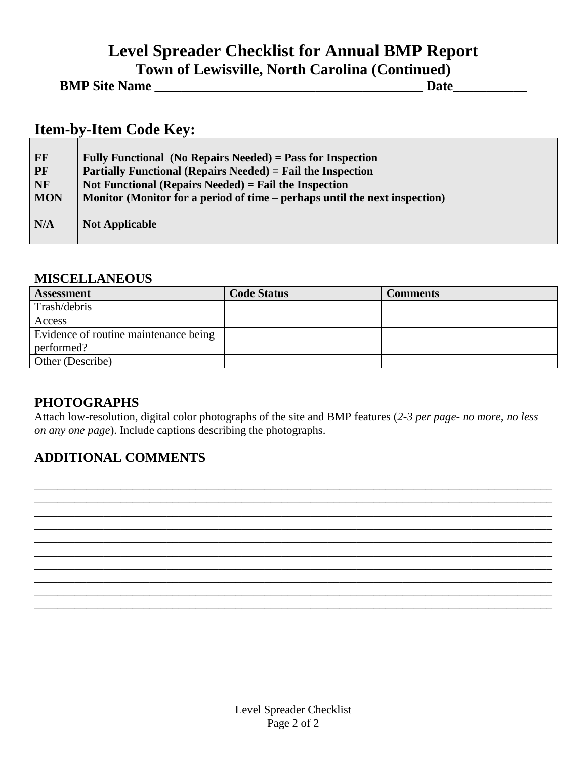# **Level Spreader Checklist for Annual BMP Report Town of Lewisville, North Carolina (Continued)**

| <b>BMP Site Name</b> |  | Jate |
|----------------------|--|------|
|                      |  |      |

# **Item-by-Item Code Key:**

| FF                     | Fully Functional (No Repairs Needed) = Pass for Inspection                                                                    |
|------------------------|-------------------------------------------------------------------------------------------------------------------------------|
| <b>PF</b><br><b>NF</b> | <b>Partially Functional (Repairs Needed) = Fail the Inspection</b><br>Not Functional (Repairs Needed) $=$ Fail the Inspection |
| <b>MON</b>             | Monitor (Monitor for a period of time – perhaps until the next inspection)                                                    |
| N/A                    | <b>Not Applicable</b>                                                                                                         |

#### **MISCELLANEOUS**

| <b>Assessment</b>                     | <b>Code Status</b> | <b>Comments</b> |
|---------------------------------------|--------------------|-----------------|
| Trash/debris                          |                    |                 |
| Access                                |                    |                 |
| Evidence of routine maintenance being |                    |                 |
| performed?                            |                    |                 |
| Other (Describe)                      |                    |                 |

#### **PHOTOGRAPHS**

Attach low-resolution, digital color photographs of the site and BMP features (*2-3 per page- no more, no less on any one page*). Include captions describing the photographs.

\_\_\_\_\_\_\_\_\_\_\_\_\_\_\_\_\_\_\_\_\_\_\_\_\_\_\_\_\_\_\_\_\_\_\_\_\_\_\_\_\_\_\_\_\_\_\_\_\_\_\_\_\_\_\_\_\_\_\_\_\_\_\_\_\_\_\_\_\_\_\_\_\_\_\_\_\_\_\_\_\_\_\_\_\_\_\_\_\_\_ \_\_\_\_\_\_\_\_\_\_\_\_\_\_\_\_\_\_\_\_\_\_\_\_\_\_\_\_\_\_\_\_\_\_\_\_\_\_\_\_\_\_\_\_\_\_\_\_\_\_\_\_\_\_\_\_\_\_\_\_\_\_\_\_\_\_\_\_\_\_\_\_\_\_\_\_\_\_\_\_\_\_\_\_\_\_\_\_\_\_ \_\_\_\_\_\_\_\_\_\_\_\_\_\_\_\_\_\_\_\_\_\_\_\_\_\_\_\_\_\_\_\_\_\_\_\_\_\_\_\_\_\_\_\_\_\_\_\_\_\_\_\_\_\_\_\_\_\_\_\_\_\_\_\_\_\_\_\_\_\_\_\_\_\_\_\_\_\_\_\_\_\_\_\_\_\_\_\_\_\_ \_\_\_\_\_\_\_\_\_\_\_\_\_\_\_\_\_\_\_\_\_\_\_\_\_\_\_\_\_\_\_\_\_\_\_\_\_\_\_\_\_\_\_\_\_\_\_\_\_\_\_\_\_\_\_\_\_\_\_\_\_\_\_\_\_\_\_\_\_\_\_\_\_\_\_\_\_\_\_\_\_\_\_\_\_\_\_\_\_\_ \_\_\_\_\_\_\_\_\_\_\_\_\_\_\_\_\_\_\_\_\_\_\_\_\_\_\_\_\_\_\_\_\_\_\_\_\_\_\_\_\_\_\_\_\_\_\_\_\_\_\_\_\_\_\_\_\_\_\_\_\_\_\_\_\_\_\_\_\_\_\_\_\_\_\_\_\_\_\_\_\_\_\_\_\_\_\_\_\_\_ \_\_\_\_\_\_\_\_\_\_\_\_\_\_\_\_\_\_\_\_\_\_\_\_\_\_\_\_\_\_\_\_\_\_\_\_\_\_\_\_\_\_\_\_\_\_\_\_\_\_\_\_\_\_\_\_\_\_\_\_\_\_\_\_\_\_\_\_\_\_\_\_\_\_\_\_\_\_\_\_\_\_\_\_\_\_\_\_\_\_ \_\_\_\_\_\_\_\_\_\_\_\_\_\_\_\_\_\_\_\_\_\_\_\_\_\_\_\_\_\_\_\_\_\_\_\_\_\_\_\_\_\_\_\_\_\_\_\_\_\_\_\_\_\_\_\_\_\_\_\_\_\_\_\_\_\_\_\_\_\_\_\_\_\_\_\_\_\_\_\_\_\_\_\_\_\_\_\_\_\_ \_\_\_\_\_\_\_\_\_\_\_\_\_\_\_\_\_\_\_\_\_\_\_\_\_\_\_\_\_\_\_\_\_\_\_\_\_\_\_\_\_\_\_\_\_\_\_\_\_\_\_\_\_\_\_\_\_\_\_\_\_\_\_\_\_\_\_\_\_\_\_\_\_\_\_\_\_\_\_\_\_\_\_\_\_\_\_\_\_\_ \_\_\_\_\_\_\_\_\_\_\_\_\_\_\_\_\_\_\_\_\_\_\_\_\_\_\_\_\_\_\_\_\_\_\_\_\_\_\_\_\_\_\_\_\_\_\_\_\_\_\_\_\_\_\_\_\_\_\_\_\_\_\_\_\_\_\_\_\_\_\_\_\_\_\_\_\_\_\_\_\_\_\_\_\_\_\_\_\_\_ \_\_\_\_\_\_\_\_\_\_\_\_\_\_\_\_\_\_\_\_\_\_\_\_\_\_\_\_\_\_\_\_\_\_\_\_\_\_\_\_\_\_\_\_\_\_\_\_\_\_\_\_\_\_\_\_\_\_\_\_\_\_\_\_\_\_\_\_\_\_\_\_\_\_\_\_\_\_\_\_\_\_\_\_\_\_\_\_\_\_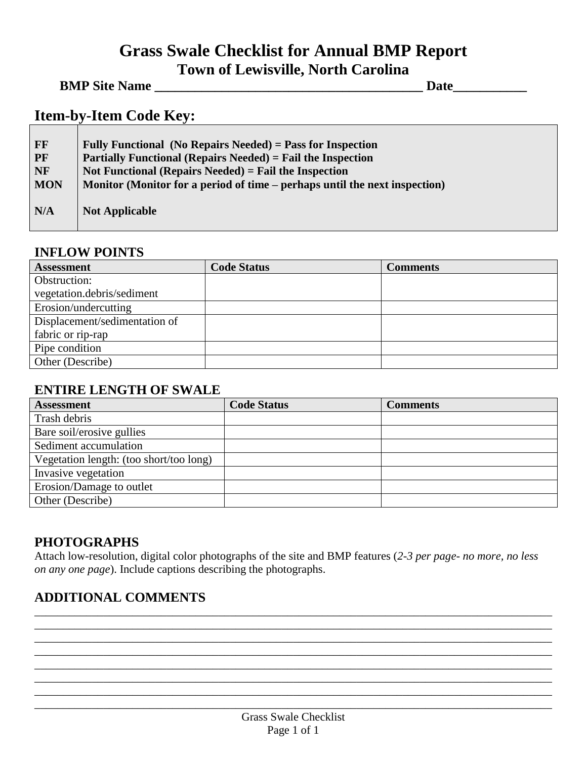# **Grass Swale Checklist for Annual BMP Report Town of Lewisville, North Carolina**

<u> 1980 - Johann Barn, mars ar breist fan de Amerikaanske kommunent fan de Amerikaanske kommunent fan de Amerika</u>

### **BMP Site Name Date**

## **Item-by-Item Code Key:**

| <b>FF</b>  | Fully Functional (No Repairs Needed) = Pass for Inspection                 |
|------------|----------------------------------------------------------------------------|
| <b>PF</b>  | <b>Partially Functional (Repairs Needed) = Fail the Inspection</b>         |
| <b>NF</b>  | Not Functional (Repairs Needed) = Fail the Inspection                      |
| <b>MON</b> | Monitor (Monitor for a period of time – perhaps until the next inspection) |
| N/A        | <b>Not Applicable</b>                                                      |

#### **INFLOW POINTS**

| <b>Assessment</b>             | <b>Code Status</b> | <b>Comments</b> |
|-------------------------------|--------------------|-----------------|
| Obstruction:                  |                    |                 |
| vegetation.debris/sediment    |                    |                 |
| Erosion/undercutting          |                    |                 |
| Displacement/sedimentation of |                    |                 |
| fabric or rip-rap             |                    |                 |
| Pipe condition                |                    |                 |
| Other (Describe)              |                    |                 |

#### **ENTIRE LENGTH OF SWALE**

| <b>Assessment</b>                       | <b>Code Status</b> | <b>Comments</b> |
|-----------------------------------------|--------------------|-----------------|
| Trash debris                            |                    |                 |
| Bare soil/erosive gullies               |                    |                 |
| Sediment accumulation                   |                    |                 |
| Vegetation length: (too short/too long) |                    |                 |
| Invasive vegetation                     |                    |                 |
| Erosion/Damage to outlet                |                    |                 |
| Other (Describe)                        |                    |                 |

#### **PHOTOGRAPHS**

Attach low-resolution, digital color photographs of the site and BMP features (*2-3 per page- no more, no less on any one page*). Include captions describing the photographs.

\_\_\_\_\_\_\_\_\_\_\_\_\_\_\_\_\_\_\_\_\_\_\_\_\_\_\_\_\_\_\_\_\_\_\_\_\_\_\_\_\_\_\_\_\_\_\_\_\_\_\_\_\_\_\_\_\_\_\_\_\_\_\_\_\_\_\_\_\_\_\_\_\_\_\_\_\_\_\_\_\_\_\_\_\_\_\_\_\_\_ \_\_\_\_\_\_\_\_\_\_\_\_\_\_\_\_\_\_\_\_\_\_\_\_\_\_\_\_\_\_\_\_\_\_\_\_\_\_\_\_\_\_\_\_\_\_\_\_\_\_\_\_\_\_\_\_\_\_\_\_\_\_\_\_\_\_\_\_\_\_\_\_\_\_\_\_\_\_\_\_\_\_\_\_\_\_\_\_\_\_ \_\_\_\_\_\_\_\_\_\_\_\_\_\_\_\_\_\_\_\_\_\_\_\_\_\_\_\_\_\_\_\_\_\_\_\_\_\_\_\_\_\_\_\_\_\_\_\_\_\_\_\_\_\_\_\_\_\_\_\_\_\_\_\_\_\_\_\_\_\_\_\_\_\_\_\_\_\_\_\_\_\_\_\_\_\_\_\_\_\_ \_\_\_\_\_\_\_\_\_\_\_\_\_\_\_\_\_\_\_\_\_\_\_\_\_\_\_\_\_\_\_\_\_\_\_\_\_\_\_\_\_\_\_\_\_\_\_\_\_\_\_\_\_\_\_\_\_\_\_\_\_\_\_\_\_\_\_\_\_\_\_\_\_\_\_\_\_\_\_\_\_\_\_\_\_\_\_\_\_\_ \_\_\_\_\_\_\_\_\_\_\_\_\_\_\_\_\_\_\_\_\_\_\_\_\_\_\_\_\_\_\_\_\_\_\_\_\_\_\_\_\_\_\_\_\_\_\_\_\_\_\_\_\_\_\_\_\_\_\_\_\_\_\_\_\_\_\_\_\_\_\_\_\_\_\_\_\_\_\_\_\_\_\_\_\_\_\_\_\_\_ \_\_\_\_\_\_\_\_\_\_\_\_\_\_\_\_\_\_\_\_\_\_\_\_\_\_\_\_\_\_\_\_\_\_\_\_\_\_\_\_\_\_\_\_\_\_\_\_\_\_\_\_\_\_\_\_\_\_\_\_\_\_\_\_\_\_\_\_\_\_\_\_\_\_\_\_\_\_\_\_\_\_\_\_\_\_\_\_\_\_ \_\_\_\_\_\_\_\_\_\_\_\_\_\_\_\_\_\_\_\_\_\_\_\_\_\_\_\_\_\_\_\_\_\_\_\_\_\_\_\_\_\_\_\_\_\_\_\_\_\_\_\_\_\_\_\_\_\_\_\_\_\_\_\_\_\_\_\_\_\_\_\_\_\_\_\_\_\_\_\_\_\_\_\_\_\_\_\_\_\_ \_\_\_\_\_\_\_\_\_\_\_\_\_\_\_\_\_\_\_\_\_\_\_\_\_\_\_\_\_\_\_\_\_\_\_\_\_\_\_\_\_\_\_\_\_\_\_\_\_\_\_\_\_\_\_\_\_\_\_\_\_\_\_\_\_\_\_\_\_\_\_\_\_\_\_\_\_\_\_\_\_\_\_\_\_\_\_\_\_\_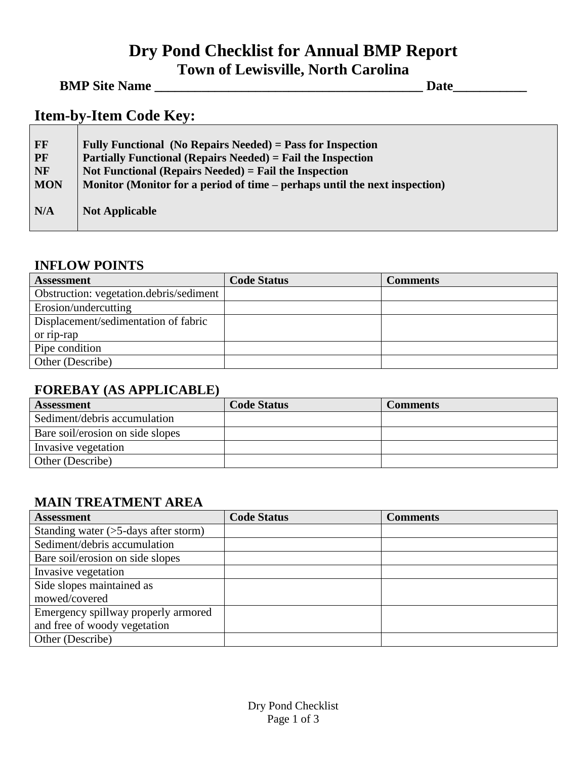# **Dry Pond Checklist for Annual BMP Report Town of Lewisville, North Carolina**

#### **BMP Site Name \_\_\_\_\_\_\_\_\_\_\_\_\_\_\_\_\_\_\_\_\_\_\_\_\_\_\_\_\_\_\_\_\_\_\_\_\_\_\_\_ Date\_\_\_\_\_\_\_\_\_\_\_**

## **Item-by-Item Code Key:**

| $\bf FF$   | Fully Functional (No Repairs Needed) = Pass for Inspection                 |
|------------|----------------------------------------------------------------------------|
| <b>PF</b>  | <b>Partially Functional (Repairs Needed) = Fail the Inspection</b>         |
| <b>NF</b>  | Not Functional (Repairs Needed) = Fail the Inspection                      |
| <b>MON</b> | Monitor (Monitor for a period of time – perhaps until the next inspection) |
| N/A        | <b>Not Applicable</b>                                                      |

#### **INFLOW POINTS**

| <b>Assessment</b>                       | <b>Code Status</b> | <b>Comments</b> |
|-----------------------------------------|--------------------|-----------------|
| Obstruction: vegetation.debris/sediment |                    |                 |
| Erosion/undercutting                    |                    |                 |
| Displacement/sedimentation of fabric    |                    |                 |
| or rip-rap                              |                    |                 |
| Pipe condition                          |                    |                 |
| Other (Describe)                        |                    |                 |

#### **FOREBAY (AS APPLICABLE)**

| <b>Assessment</b>                | <b>Code Status</b> | <b>Comments</b> |
|----------------------------------|--------------------|-----------------|
| Sediment/debris accumulation     |                    |                 |
| Bare soil/erosion on side slopes |                    |                 |
| Invasive vegetation              |                    |                 |
| Other (Describe)                 |                    |                 |

## **MAIN TREATMENT AREA**

| <b>Assessment</b>                          | <b>Code Status</b> | <b>Comments</b> |
|--------------------------------------------|--------------------|-----------------|
| Standing water $($ >5-days after storm $)$ |                    |                 |
| Sediment/debris accumulation               |                    |                 |
| Bare soil/erosion on side slopes           |                    |                 |
| Invasive vegetation                        |                    |                 |
| Side slopes maintained as                  |                    |                 |
| mowed/covered                              |                    |                 |
| Emergency spillway properly armored        |                    |                 |
| and free of woody vegetation               |                    |                 |
| Other (Describe)                           |                    |                 |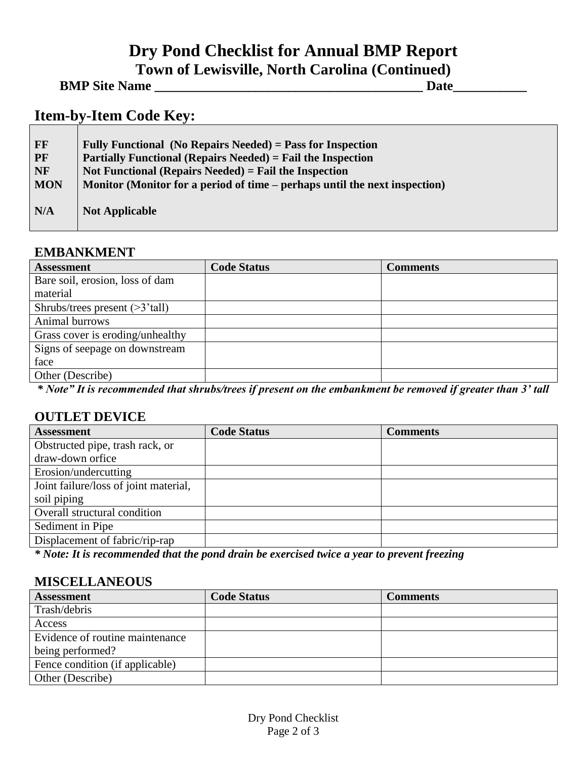# **Dry Pond Checklist for Annual BMP Report Town of Lewisville, North Carolina (Continued)**

| <b>BMP Site Name</b> |  |
|----------------------|--|
|                      |  |

## **Item-by-Item Code Key:**

| FF         | Fully Functional (No Repairs Needed) = Pass for Inspection                 |
|------------|----------------------------------------------------------------------------|
| <b>PF</b>  | <b>Partially Functional (Repairs Needed)</b> = Fail the Inspection         |
| <b>NF</b>  | Not Functional (Repairs Needed) = Fail the Inspection                      |
| <b>MON</b> | Monitor (Monitor for a period of time – perhaps until the next inspection) |
| N/A        | <b>Not Applicable</b>                                                      |

#### **EMBANKMENT**

| <b>Assessment</b>                               | <b>Code Status</b> | <b>Comments</b> |
|-------------------------------------------------|--------------------|-----------------|
| Bare soil, erosion, loss of dam                 |                    |                 |
| material                                        |                    |                 |
| Shrubs/trees present $($ >3 $^{\circ}$ tall $)$ |                    |                 |
| Animal burrows                                  |                    |                 |
| Grass cover is eroding/unhealthy                |                    |                 |
| Signs of seepage on downstream                  |                    |                 |
| face                                            |                    |                 |
| Other (Describe)                                |                    |                 |

*\* Note" It is recommended that shrubs/trees if present on the embankment be removed if greater than 3' tall*

#### **OUTLET DEVICE**

| <b>Assessment</b>                     | <b>Code Status</b> | <b>Comments</b> |
|---------------------------------------|--------------------|-----------------|
| Obstructed pipe, trash rack, or       |                    |                 |
| draw-down orfice                      |                    |                 |
| Erosion/undercutting                  |                    |                 |
| Joint failure/loss of joint material, |                    |                 |
| soil piping                           |                    |                 |
| Overall structural condition          |                    |                 |
| Sediment in Pipe                      |                    |                 |
| Displacement of fabric/rip-rap        |                    |                 |
|                                       |                    |                 |

*\* Note: It is recommended that the pond drain be exercised twice a year to prevent freezing*

#### **MISCELLANEOUS**

| <b>Assessment</b>               | <b>Code Status</b> | Comments |
|---------------------------------|--------------------|----------|
| Trash/debris                    |                    |          |
| Access                          |                    |          |
| Evidence of routine maintenance |                    |          |
| being performed?                |                    |          |
| Fence condition (if applicable) |                    |          |
| Other (Describe)                |                    |          |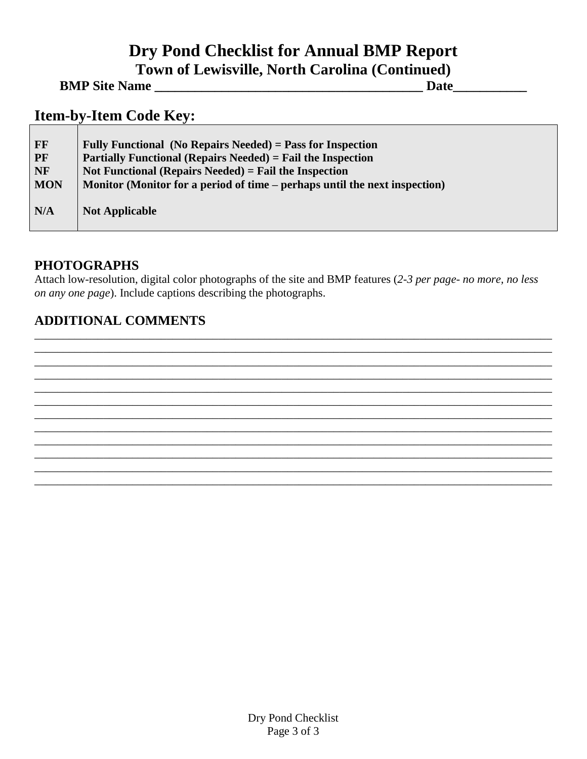# **Dry Pond Checklist for Annual BMP Report Town of Lewisville, North Carolina (Continued)**

**BMP Site Name \_\_\_\_\_\_\_\_\_\_\_\_\_\_\_\_\_\_\_\_\_\_\_\_\_\_\_\_\_\_\_\_\_\_\_\_\_\_\_\_ Date\_\_\_\_\_\_\_\_\_\_\_**

# **Item-by-Item Code Key:**

| FF                     | Fully Functional (No Repairs Needed) = Pass for Inspection                                                                    |
|------------------------|-------------------------------------------------------------------------------------------------------------------------------|
| <b>PF</b><br><b>NF</b> | <b>Partially Functional (Repairs Needed) = Fail the Inspection</b><br>Not Functional (Repairs Needed) $=$ Fail the Inspection |
| <b>MON</b>             | Monitor (Monitor for a period of time – perhaps until the next inspection)                                                    |
| N/A                    | <b>Not Applicable</b>                                                                                                         |

#### **PHOTOGRAPHS**

Attach low-resolution, digital color photographs of the site and BMP features (*2-3 per page- no more, no less on any one page*). Include captions describing the photographs.

\_\_\_\_\_\_\_\_\_\_\_\_\_\_\_\_\_\_\_\_\_\_\_\_\_\_\_\_\_\_\_\_\_\_\_\_\_\_\_\_\_\_\_\_\_\_\_\_\_\_\_\_\_\_\_\_\_\_\_\_\_\_\_\_\_\_\_\_\_\_\_\_\_\_\_\_\_\_\_\_\_\_\_\_\_\_\_\_\_\_ \_\_\_\_\_\_\_\_\_\_\_\_\_\_\_\_\_\_\_\_\_\_\_\_\_\_\_\_\_\_\_\_\_\_\_\_\_\_\_\_\_\_\_\_\_\_\_\_\_\_\_\_\_\_\_\_\_\_\_\_\_\_\_\_\_\_\_\_\_\_\_\_\_\_\_\_\_\_\_\_\_\_\_\_\_\_\_\_\_\_ \_\_\_\_\_\_\_\_\_\_\_\_\_\_\_\_\_\_\_\_\_\_\_\_\_\_\_\_\_\_\_\_\_\_\_\_\_\_\_\_\_\_\_\_\_\_\_\_\_\_\_\_\_\_\_\_\_\_\_\_\_\_\_\_\_\_\_\_\_\_\_\_\_\_\_\_\_\_\_\_\_\_\_\_\_\_\_\_\_\_ \_\_\_\_\_\_\_\_\_\_\_\_\_\_\_\_\_\_\_\_\_\_\_\_\_\_\_\_\_\_\_\_\_\_\_\_\_\_\_\_\_\_\_\_\_\_\_\_\_\_\_\_\_\_\_\_\_\_\_\_\_\_\_\_\_\_\_\_\_\_\_\_\_\_\_\_\_\_\_\_\_\_\_\_\_\_\_\_\_\_ \_\_\_\_\_\_\_\_\_\_\_\_\_\_\_\_\_\_\_\_\_\_\_\_\_\_\_\_\_\_\_\_\_\_\_\_\_\_\_\_\_\_\_\_\_\_\_\_\_\_\_\_\_\_\_\_\_\_\_\_\_\_\_\_\_\_\_\_\_\_\_\_\_\_\_\_\_\_\_\_\_\_\_\_\_\_\_\_\_\_ \_\_\_\_\_\_\_\_\_\_\_\_\_\_\_\_\_\_\_\_\_\_\_\_\_\_\_\_\_\_\_\_\_\_\_\_\_\_\_\_\_\_\_\_\_\_\_\_\_\_\_\_\_\_\_\_\_\_\_\_\_\_\_\_\_\_\_\_\_\_\_\_\_\_\_\_\_\_\_\_\_\_\_\_\_\_\_\_\_\_ \_\_\_\_\_\_\_\_\_\_\_\_\_\_\_\_\_\_\_\_\_\_\_\_\_\_\_\_\_\_\_\_\_\_\_\_\_\_\_\_\_\_\_\_\_\_\_\_\_\_\_\_\_\_\_\_\_\_\_\_\_\_\_\_\_\_\_\_\_\_\_\_\_\_\_\_\_\_\_\_\_\_\_\_\_\_\_\_\_\_ \_\_\_\_\_\_\_\_\_\_\_\_\_\_\_\_\_\_\_\_\_\_\_\_\_\_\_\_\_\_\_\_\_\_\_\_\_\_\_\_\_\_\_\_\_\_\_\_\_\_\_\_\_\_\_\_\_\_\_\_\_\_\_\_\_\_\_\_\_\_\_\_\_\_\_\_\_\_\_\_\_\_\_\_\_\_\_\_\_\_ \_\_\_\_\_\_\_\_\_\_\_\_\_\_\_\_\_\_\_\_\_\_\_\_\_\_\_\_\_\_\_\_\_\_\_\_\_\_\_\_\_\_\_\_\_\_\_\_\_\_\_\_\_\_\_\_\_\_\_\_\_\_\_\_\_\_\_\_\_\_\_\_\_\_\_\_\_\_\_\_\_\_\_\_\_\_\_\_\_\_ \_\_\_\_\_\_\_\_\_\_\_\_\_\_\_\_\_\_\_\_\_\_\_\_\_\_\_\_\_\_\_\_\_\_\_\_\_\_\_\_\_\_\_\_\_\_\_\_\_\_\_\_\_\_\_\_\_\_\_\_\_\_\_\_\_\_\_\_\_\_\_\_\_\_\_\_\_\_\_\_\_\_\_\_\_\_\_\_\_\_ \_\_\_\_\_\_\_\_\_\_\_\_\_\_\_\_\_\_\_\_\_\_\_\_\_\_\_\_\_\_\_\_\_\_\_\_\_\_\_\_\_\_\_\_\_\_\_\_\_\_\_\_\_\_\_\_\_\_\_\_\_\_\_\_\_\_\_\_\_\_\_\_\_\_\_\_\_\_\_\_\_\_\_\_\_\_\_\_\_\_ \_\_\_\_\_\_\_\_\_\_\_\_\_\_\_\_\_\_\_\_\_\_\_\_\_\_\_\_\_\_\_\_\_\_\_\_\_\_\_\_\_\_\_\_\_\_\_\_\_\_\_\_\_\_\_\_\_\_\_\_\_\_\_\_\_\_\_\_\_\_\_\_\_\_\_\_\_\_\_\_\_\_\_\_\_\_\_\_\_\_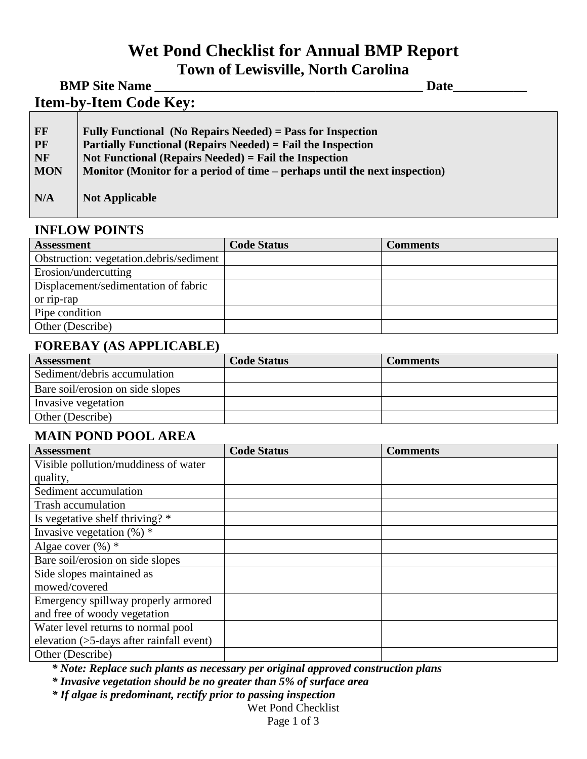# **Wet Pond Checklist for Annual BMP Report Town of Lewisville, North Carolina**

|              | <b>BMP Site Name</b>                                                                                               | Date |
|--------------|--------------------------------------------------------------------------------------------------------------------|------|
|              | <b>Item-by-Item Code Key:</b>                                                                                      |      |
|              |                                                                                                                    |      |
| FF           | Fully Functional (No Repairs Needed) = Pass for Inspection                                                         |      |
| $\mathbf{m}$ | $\mathbf{D}$ and $\mathbf{E}$ and $\mathbf{E}$ and $\mathbf{E}$ and $\mathbf{E}$ and $\mathbf{E}$ and $\mathbf{E}$ |      |

|            | $\mathbf{I}$ any 1 ancholism $\mathbf{I}$ to itepans freedom $\mathbf{I}$ and for impression |
|------------|----------------------------------------------------------------------------------------------|
| <b>PF</b>  | <b>Partially Functional (Repairs Needed)</b> = Fail the Inspection                           |
| NF         | Not Functional (Repairs Needed) $=$ Fail the Inspection                                      |
| <b>MON</b> | Monitor (Monitor for a period of time – perhaps until the next inspection)                   |
| N/A        | <b>Not Applicable</b>                                                                        |

#### **INFLOW POINTS**

| <b>Assessment</b>                       | <b>Code Status</b> | Comments |
|-----------------------------------------|--------------------|----------|
| Obstruction: vegetation.debris/sediment |                    |          |
| Erosion/undercutting                    |                    |          |
| Displacement/sedimentation of fabric    |                    |          |
| or rip-rap                              |                    |          |
| Pipe condition                          |                    |          |
| Other (Describe)                        |                    |          |

#### **FOREBAY (AS APPLICABLE)**

| <b>Assessment</b>                | <b>Code Status</b> | <b>Comments</b> |
|----------------------------------|--------------------|-----------------|
| Sediment/debris accumulation     |                    |                 |
| Bare soil/erosion on side slopes |                    |                 |
| Invasive vegetation              |                    |                 |
| Other (Describe)                 |                    |                 |

#### **MAIN POND POOL AREA**

| <b>Assessment</b>                        | <b>Code Status</b> | <b>Comments</b> |
|------------------------------------------|--------------------|-----------------|
| Visible pollution/muddiness of water     |                    |                 |
| quality,                                 |                    |                 |
| Sediment accumulation                    |                    |                 |
| Trash accumulation                       |                    |                 |
| Is vegetative shelf thriving? *          |                    |                 |
| Invasive vegetation $(\%)$ *             |                    |                 |
| Algae cover $(\%)$ *                     |                    |                 |
| Bare soil/erosion on side slopes         |                    |                 |
| Side slopes maintained as                |                    |                 |
| mowed/covered                            |                    |                 |
| Emergency spillway properly armored      |                    |                 |
| and free of woody vegetation             |                    |                 |
| Water level returns to normal pool       |                    |                 |
| elevation (>5-days after rainfall event) |                    |                 |
| Other (Describe)                         |                    |                 |

*\* Note: Replace such plants as necessary per original approved construction plans*

*\* Invasive vegetation should be no greater than 5% of surface area*

*\* If algae is predominant, rectify prior to passing inspection*

Wet Pond Checklist

Page 1 of 3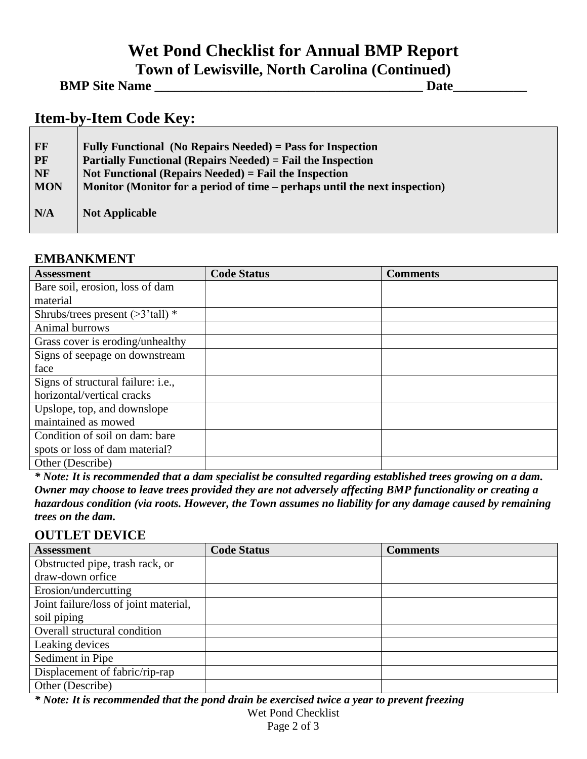# **Wet Pond Checklist for Annual BMP Report Town of Lewisville, North Carolina (Continued)**

| <b>BMP Site Name</b> | Date |  |
|----------------------|------|--|
|----------------------|------|--|

# **Item-by-Item Code Key:**

| FF         | Fully Functional (No Repairs Needed) = Pass for Inspection                 |
|------------|----------------------------------------------------------------------------|
| PF         | <b>Partially Functional (Repairs Needed) = Fail the Inspection</b>         |
| <b>NF</b>  | Not Functional (Repairs Needed) = Fail the Inspection                      |
| <b>MON</b> | Monitor (Monitor for a period of time – perhaps until the next inspection) |
| N/A        | <b>Not Applicable</b>                                                      |

## **EMBANKMENT**

| <b>Assessment</b>                          | <b>Code Status</b> | <b>Comments</b> |
|--------------------------------------------|--------------------|-----------------|
| Bare soil, erosion, loss of dam            |                    |                 |
| material                                   |                    |                 |
| Shrubs/trees present $($ >3'tall $)$ *     |                    |                 |
| Animal burrows                             |                    |                 |
| Grass cover is eroding/unhealthy           |                    |                 |
| Signs of seepage on downstream             |                    |                 |
| face                                       |                    |                 |
| Signs of structural failure: <i>i.e.</i> , |                    |                 |
| horizontal/vertical cracks                 |                    |                 |
| Upslope, top, and downslope                |                    |                 |
| maintained as mowed                        |                    |                 |
| Condition of soil on dam: bare             |                    |                 |
| spots or loss of dam material?             |                    |                 |
| Other (Describe)                           |                    |                 |

*\* Note: It is recommended that a dam specialist be consulted regarding established trees growing on a dam. Owner may choose to leave trees provided they are not adversely affecting BMP functionality or creating a hazardous condition (via roots. However, the Town assumes no liability for any damage caused by remaining trees on the dam.* 

## **OUTLET DEVICE**

| <b>Assessment</b>                     | <b>Code Status</b> | <b>Comments</b> |
|---------------------------------------|--------------------|-----------------|
| Obstructed pipe, trash rack, or       |                    |                 |
| draw-down orfice                      |                    |                 |
| Erosion/undercutting                  |                    |                 |
| Joint failure/loss of joint material, |                    |                 |
| soil piping                           |                    |                 |
| Overall structural condition          |                    |                 |
| Leaking devices                       |                    |                 |
| Sediment in Pipe                      |                    |                 |
| Displacement of fabric/rip-rap        |                    |                 |
| Other (Describe)                      |                    |                 |

*\* Note: It is recommended that the pond drain be exercised twice a year to prevent freezing*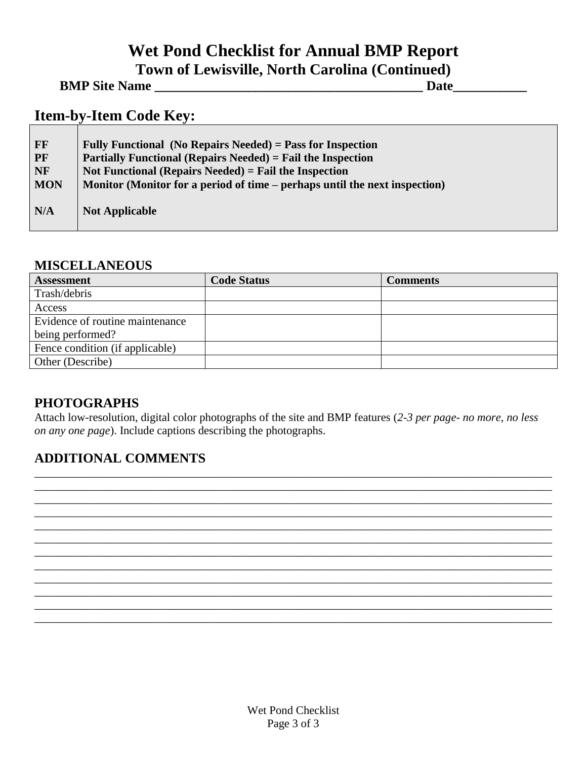# **Wet Pond Checklist for Annual BMP Report Town of Lewisville, North Carolina (Continued)**

| <b>BMP Site Name</b> | Date |
|----------------------|------|
|----------------------|------|

# **Item-by-Item Code Key:**

| FF         | Fully Functional (No Repairs Needed) = Pass for Inspection                 |
|------------|----------------------------------------------------------------------------|
| PF         | Partially Functional (Repairs Needed) = Fail the Inspection                |
| NF         | Not Functional (Repairs Needed) $=$ Fail the Inspection                    |
| <b>MON</b> | Monitor (Monitor for a period of time – perhaps until the next inspection) |
| N/A        | <b>Not Applicable</b>                                                      |

#### **MISCELLANEOUS**

| <b>Assessment</b>               | <b>Code Status</b> | Comments |
|---------------------------------|--------------------|----------|
| Trash/debris                    |                    |          |
| Access                          |                    |          |
| Evidence of routine maintenance |                    |          |
| being performed?                |                    |          |
| Fence condition (if applicable) |                    |          |
| Other (Describe)                |                    |          |

#### **PHOTOGRAPHS**

Attach low-resolution, digital color photographs of the site and BMP features (*2-3 per page- no more, no less on any one page*). Include captions describing the photographs.

\_\_\_\_\_\_\_\_\_\_\_\_\_\_\_\_\_\_\_\_\_\_\_\_\_\_\_\_\_\_\_\_\_\_\_\_\_\_\_\_\_\_\_\_\_\_\_\_\_\_\_\_\_\_\_\_\_\_\_\_\_\_\_\_\_\_\_\_\_\_\_\_\_\_\_\_\_\_\_\_\_\_\_\_\_\_\_\_\_\_ \_\_\_\_\_\_\_\_\_\_\_\_\_\_\_\_\_\_\_\_\_\_\_\_\_\_\_\_\_\_\_\_\_\_\_\_\_\_\_\_\_\_\_\_\_\_\_\_\_\_\_\_\_\_\_\_\_\_\_\_\_\_\_\_\_\_\_\_\_\_\_\_\_\_\_\_\_\_\_\_\_\_\_\_\_\_\_\_\_\_ \_\_\_\_\_\_\_\_\_\_\_\_\_\_\_\_\_\_\_\_\_\_\_\_\_\_\_\_\_\_\_\_\_\_\_\_\_\_\_\_\_\_\_\_\_\_\_\_\_\_\_\_\_\_\_\_\_\_\_\_\_\_\_\_\_\_\_\_\_\_\_\_\_\_\_\_\_\_\_\_\_\_\_\_\_\_\_\_\_\_ \_\_\_\_\_\_\_\_\_\_\_\_\_\_\_\_\_\_\_\_\_\_\_\_\_\_\_\_\_\_\_\_\_\_\_\_\_\_\_\_\_\_\_\_\_\_\_\_\_\_\_\_\_\_\_\_\_\_\_\_\_\_\_\_\_\_\_\_\_\_\_\_\_\_\_\_\_\_\_\_\_\_\_\_\_\_\_\_\_\_ \_\_\_\_\_\_\_\_\_\_\_\_\_\_\_\_\_\_\_\_\_\_\_\_\_\_\_\_\_\_\_\_\_\_\_\_\_\_\_\_\_\_\_\_\_\_\_\_\_\_\_\_\_\_\_\_\_\_\_\_\_\_\_\_\_\_\_\_\_\_\_\_\_\_\_\_\_\_\_\_\_\_\_\_\_\_\_\_\_\_ \_\_\_\_\_\_\_\_\_\_\_\_\_\_\_\_\_\_\_\_\_\_\_\_\_\_\_\_\_\_\_\_\_\_\_\_\_\_\_\_\_\_\_\_\_\_\_\_\_\_\_\_\_\_\_\_\_\_\_\_\_\_\_\_\_\_\_\_\_\_\_\_\_\_\_\_\_\_\_\_\_\_\_\_\_\_\_\_\_\_ \_\_\_\_\_\_\_\_\_\_\_\_\_\_\_\_\_\_\_\_\_\_\_\_\_\_\_\_\_\_\_\_\_\_\_\_\_\_\_\_\_\_\_\_\_\_\_\_\_\_\_\_\_\_\_\_\_\_\_\_\_\_\_\_\_\_\_\_\_\_\_\_\_\_\_\_\_\_\_\_\_\_\_\_\_\_\_\_\_\_ \_\_\_\_\_\_\_\_\_\_\_\_\_\_\_\_\_\_\_\_\_\_\_\_\_\_\_\_\_\_\_\_\_\_\_\_\_\_\_\_\_\_\_\_\_\_\_\_\_\_\_\_\_\_\_\_\_\_\_\_\_\_\_\_\_\_\_\_\_\_\_\_\_\_\_\_\_\_\_\_\_\_\_\_\_\_\_\_\_\_ \_\_\_\_\_\_\_\_\_\_\_\_\_\_\_\_\_\_\_\_\_\_\_\_\_\_\_\_\_\_\_\_\_\_\_\_\_\_\_\_\_\_\_\_\_\_\_\_\_\_\_\_\_\_\_\_\_\_\_\_\_\_\_\_\_\_\_\_\_\_\_\_\_\_\_\_\_\_\_\_\_\_\_\_\_\_\_\_\_\_ \_\_\_\_\_\_\_\_\_\_\_\_\_\_\_\_\_\_\_\_\_\_\_\_\_\_\_\_\_\_\_\_\_\_\_\_\_\_\_\_\_\_\_\_\_\_\_\_\_\_\_\_\_\_\_\_\_\_\_\_\_\_\_\_\_\_\_\_\_\_\_\_\_\_\_\_\_\_\_\_\_\_\_\_\_\_\_\_\_\_ \_\_\_\_\_\_\_\_\_\_\_\_\_\_\_\_\_\_\_\_\_\_\_\_\_\_\_\_\_\_\_\_\_\_\_\_\_\_\_\_\_\_\_\_\_\_\_\_\_\_\_\_\_\_\_\_\_\_\_\_\_\_\_\_\_\_\_\_\_\_\_\_\_\_\_\_\_\_\_\_\_\_\_\_\_\_\_\_\_\_ \_\_\_\_\_\_\_\_\_\_\_\_\_\_\_\_\_\_\_\_\_\_\_\_\_\_\_\_\_\_\_\_\_\_\_\_\_\_\_\_\_\_\_\_\_\_\_\_\_\_\_\_\_\_\_\_\_\_\_\_\_\_\_\_\_\_\_\_\_\_\_\_\_\_\_\_\_\_\_\_\_\_\_\_\_\_\_\_\_\_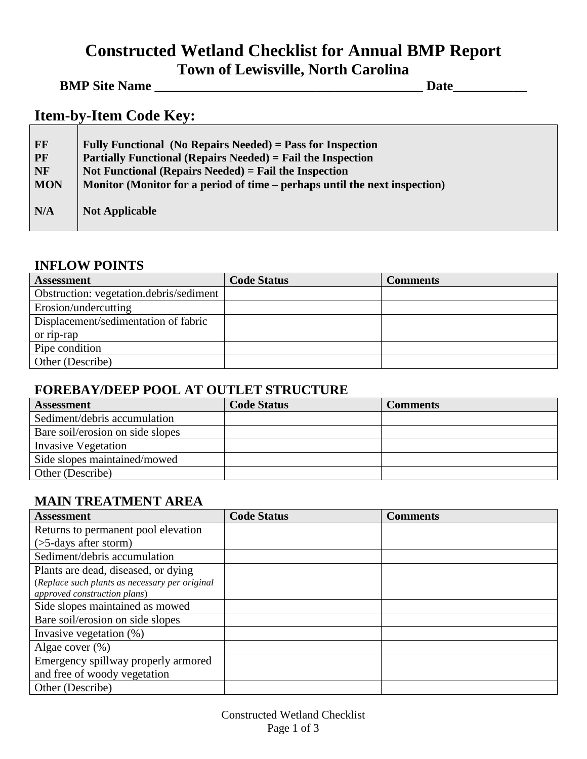# **Constructed Wetland Checklist for Annual BMP Report Town of Lewisville, North Carolina**

<u> 1989 - Johann Barbara, martxa alemani</u>ar a

# **BMP Site Name \_\_\_\_\_\_\_\_\_\_\_\_\_\_\_\_\_\_\_\_\_\_\_\_\_\_\_\_\_\_\_\_\_\_\_\_\_\_\_\_ Date\_\_\_\_\_\_\_\_\_\_\_**

# **Item-by-Item Code Key:**

| <b>FF</b>  | Fully Functional (No Repairs Needed) = Pass for Inspection                 |
|------------|----------------------------------------------------------------------------|
| <b>PF</b>  | <b>Partially Functional (Repairs Needed) = Fail the Inspection</b>         |
| <b>NF</b>  | Not Functional (Repairs Needed) $=$ Fail the Inspection                    |
| <b>MON</b> | Monitor (Monitor for a period of time – perhaps until the next inspection) |
| N/A        | <b>Not Applicable</b>                                                      |

#### **INFLOW POINTS**

| <b>Assessment</b>                       | <b>Code Status</b> | <b>Comments</b> |
|-----------------------------------------|--------------------|-----------------|
| Obstruction: vegetation.debris/sediment |                    |                 |
| Erosion/undercutting                    |                    |                 |
| Displacement/sedimentation of fabric    |                    |                 |
| or rip-rap                              |                    |                 |
| Pipe condition                          |                    |                 |
| Other (Describe)                        |                    |                 |

### **FOREBAY/DEEP POOL AT OUTLET STRUCTURE**

| <b>Assessment</b>                | <b>Code Status</b> | Comments |
|----------------------------------|--------------------|----------|
| Sediment/debris accumulation     |                    |          |
| Bare soil/erosion on side slopes |                    |          |
| <b>Invasive Vegetation</b>       |                    |          |
| Side slopes maintained/mowed     |                    |          |
| Other (Describe)                 |                    |          |

## **MAIN TREATMENT AREA**

| <b>Assessment</b>                              | <b>Code Status</b> | <b>Comments</b> |
|------------------------------------------------|--------------------|-----------------|
| Returns to permanent pool elevation            |                    |                 |
| $($ >5-days after storm $)$                    |                    |                 |
| Sediment/debris accumulation                   |                    |                 |
| Plants are dead, diseased, or dying            |                    |                 |
| (Replace such plants as necessary per original |                    |                 |
| approved construction plans)                   |                    |                 |
| Side slopes maintained as mowed                |                    |                 |
| Bare soil/erosion on side slopes               |                    |                 |
| Invasive vegetation $(\%)$                     |                    |                 |
| Algae cover $(\%)$                             |                    |                 |
| Emergency spillway properly armored            |                    |                 |
| and free of woody vegetation                   |                    |                 |
| Other (Describe)                               |                    |                 |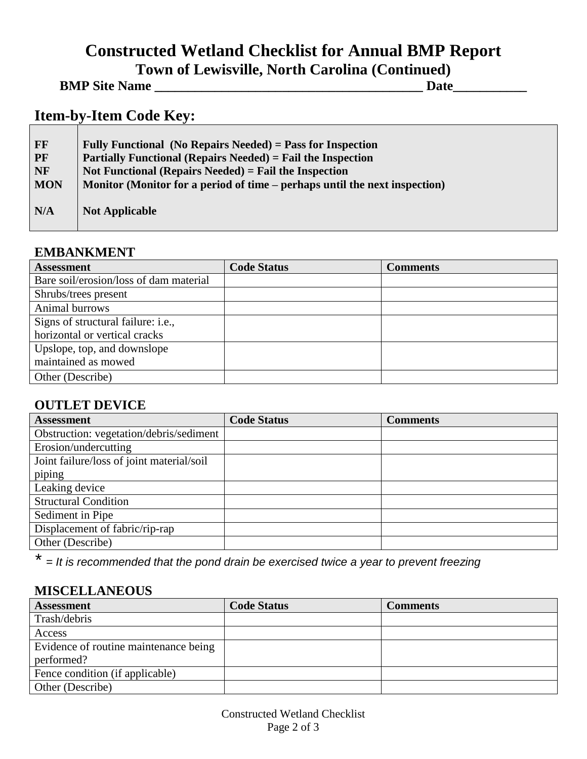# **Constructed Wetland Checklist for Annual BMP Report Town of Lewisville, North Carolina (Continued)**

**BMP Site Name \_\_\_\_\_\_\_\_\_\_\_\_\_\_\_\_\_\_\_\_\_\_\_\_\_\_\_\_\_\_\_\_\_\_\_\_\_\_\_\_ Date\_\_\_\_\_\_\_\_\_\_\_**

# **Item-by-Item Code Key:**

| <b>FF</b>  | Fully Functional (No Repairs Needed) = Pass for Inspection                 |
|------------|----------------------------------------------------------------------------|
| <b>PF</b>  | <b>Partially Functional (Repairs Needed)</b> = Fail the Inspection         |
| <b>NF</b>  | Not Functional (Repairs Needed) $=$ Fail the Inspection                    |
| <b>MON</b> | Monitor (Monitor for a period of time – perhaps until the next inspection) |
| N/A        | <b>Not Applicable</b>                                                      |

#### **EMBANKMENT**

| <b>Assessment</b>                      | <b>Code Status</b> | <b>Comments</b> |
|----------------------------------------|--------------------|-----------------|
| Bare soil/erosion/loss of dam material |                    |                 |
| Shrubs/trees present                   |                    |                 |
| Animal burrows                         |                    |                 |
| Signs of structural failure: i.e.,     |                    |                 |
| horizontal or vertical cracks          |                    |                 |
| Upslope, top, and downslope            |                    |                 |
| maintained as mowed                    |                    |                 |
| Other (Describe)                       |                    |                 |

## **OUTLET DEVICE**

| <b>Assessment</b>                         | <b>Code Status</b> | <b>Comments</b> |
|-------------------------------------------|--------------------|-----------------|
| Obstruction: vegetation/debris/sediment   |                    |                 |
| Erosion/undercutting                      |                    |                 |
| Joint failure/loss of joint material/soil |                    |                 |
| piping                                    |                    |                 |
| Leaking device                            |                    |                 |
| <b>Structural Condition</b>               |                    |                 |
| Sediment in Pipe                          |                    |                 |
| Displacement of fabric/rip-rap            |                    |                 |
| Other (Describe)                          |                    |                 |

*\* = It is recommended that the pond drain be exercised twice a year to prevent freezing*

#### **MISCELLANEOUS**

| <b>Assessment</b>                     | <b>Code Status</b> | <b>Comments</b> |
|---------------------------------------|--------------------|-----------------|
| Trash/debris                          |                    |                 |
| Access                                |                    |                 |
| Evidence of routine maintenance being |                    |                 |
| performed?                            |                    |                 |
| Fence condition (if applicable)       |                    |                 |
| Other (Describe)                      |                    |                 |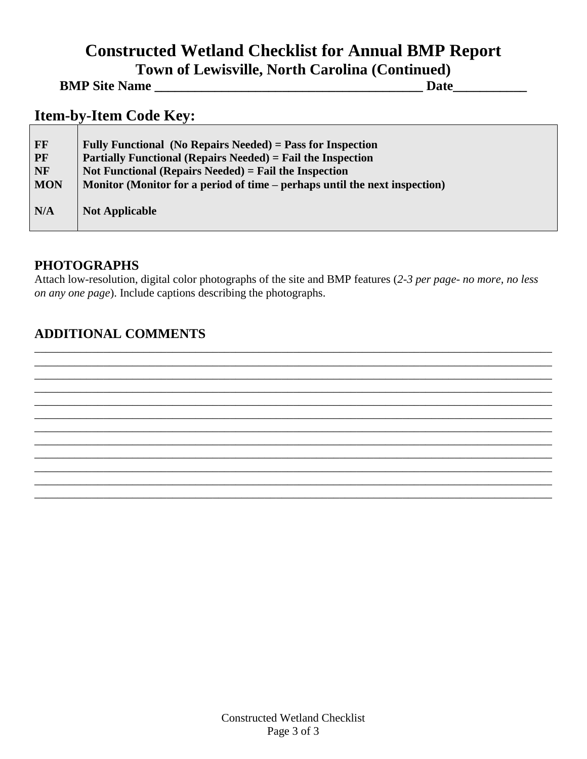# **Constructed Wetland Checklist for Annual BMP Report Town of Lewisville, North Carolina (Continued)**

**BMP Site Name \_\_\_\_\_\_\_\_\_\_\_\_\_\_\_\_\_\_\_\_\_\_\_\_\_\_\_\_\_\_\_\_\_\_\_\_\_\_\_\_ Date\_\_\_\_\_\_\_\_\_\_\_**

## **Item-by-Item Code Key:**

| FF<br>PF<br><b>NF</b> | Fully Functional (No Repairs Needed) = Pass for Inspection<br><b>Partially Functional (Repairs Needed)</b> = Fail the Inspection<br>Not Functional (Repairs Needed) $=$ Fail the Inspection |
|-----------------------|---------------------------------------------------------------------------------------------------------------------------------------------------------------------------------------------|
| <b>MON</b>            | Monitor (Monitor for a period of time – perhaps until the next inspection)                                                                                                                  |
| N/A                   | <b>Not Applicable</b>                                                                                                                                                                       |

#### **PHOTOGRAPHS**

Attach low-resolution, digital color photographs of the site and BMP features (*2-3 per page- no more, no less on any one page*). Include captions describing the photographs.

\_\_\_\_\_\_\_\_\_\_\_\_\_\_\_\_\_\_\_\_\_\_\_\_\_\_\_\_\_\_\_\_\_\_\_\_\_\_\_\_\_\_\_\_\_\_\_\_\_\_\_\_\_\_\_\_\_\_\_\_\_\_\_\_\_\_\_\_\_\_\_\_\_\_\_\_\_\_\_\_\_\_\_\_\_\_\_\_\_\_ \_\_\_\_\_\_\_\_\_\_\_\_\_\_\_\_\_\_\_\_\_\_\_\_\_\_\_\_\_\_\_\_\_\_\_\_\_\_\_\_\_\_\_\_\_\_\_\_\_\_\_\_\_\_\_\_\_\_\_\_\_\_\_\_\_\_\_\_\_\_\_\_\_\_\_\_\_\_\_\_\_\_\_\_\_\_\_\_\_\_ \_\_\_\_\_\_\_\_\_\_\_\_\_\_\_\_\_\_\_\_\_\_\_\_\_\_\_\_\_\_\_\_\_\_\_\_\_\_\_\_\_\_\_\_\_\_\_\_\_\_\_\_\_\_\_\_\_\_\_\_\_\_\_\_\_\_\_\_\_\_\_\_\_\_\_\_\_\_\_\_\_\_\_\_\_\_\_\_\_\_ \_\_\_\_\_\_\_\_\_\_\_\_\_\_\_\_\_\_\_\_\_\_\_\_\_\_\_\_\_\_\_\_\_\_\_\_\_\_\_\_\_\_\_\_\_\_\_\_\_\_\_\_\_\_\_\_\_\_\_\_\_\_\_\_\_\_\_\_\_\_\_\_\_\_\_\_\_\_\_\_\_\_\_\_\_\_\_\_\_\_ \_\_\_\_\_\_\_\_\_\_\_\_\_\_\_\_\_\_\_\_\_\_\_\_\_\_\_\_\_\_\_\_\_\_\_\_\_\_\_\_\_\_\_\_\_\_\_\_\_\_\_\_\_\_\_\_\_\_\_\_\_\_\_\_\_\_\_\_\_\_\_\_\_\_\_\_\_\_\_\_\_\_\_\_\_\_\_\_\_\_ \_\_\_\_\_\_\_\_\_\_\_\_\_\_\_\_\_\_\_\_\_\_\_\_\_\_\_\_\_\_\_\_\_\_\_\_\_\_\_\_\_\_\_\_\_\_\_\_\_\_\_\_\_\_\_\_\_\_\_\_\_\_\_\_\_\_\_\_\_\_\_\_\_\_\_\_\_\_\_\_\_\_\_\_\_\_\_\_\_\_ \_\_\_\_\_\_\_\_\_\_\_\_\_\_\_\_\_\_\_\_\_\_\_\_\_\_\_\_\_\_\_\_\_\_\_\_\_\_\_\_\_\_\_\_\_\_\_\_\_\_\_\_\_\_\_\_\_\_\_\_\_\_\_\_\_\_\_\_\_\_\_\_\_\_\_\_\_\_\_\_\_\_\_\_\_\_\_\_\_\_ \_\_\_\_\_\_\_\_\_\_\_\_\_\_\_\_\_\_\_\_\_\_\_\_\_\_\_\_\_\_\_\_\_\_\_\_\_\_\_\_\_\_\_\_\_\_\_\_\_\_\_\_\_\_\_\_\_\_\_\_\_\_\_\_\_\_\_\_\_\_\_\_\_\_\_\_\_\_\_\_\_\_\_\_\_\_\_\_\_\_ \_\_\_\_\_\_\_\_\_\_\_\_\_\_\_\_\_\_\_\_\_\_\_\_\_\_\_\_\_\_\_\_\_\_\_\_\_\_\_\_\_\_\_\_\_\_\_\_\_\_\_\_\_\_\_\_\_\_\_\_\_\_\_\_\_\_\_\_\_\_\_\_\_\_\_\_\_\_\_\_\_\_\_\_\_\_\_\_\_\_ \_\_\_\_\_\_\_\_\_\_\_\_\_\_\_\_\_\_\_\_\_\_\_\_\_\_\_\_\_\_\_\_\_\_\_\_\_\_\_\_\_\_\_\_\_\_\_\_\_\_\_\_\_\_\_\_\_\_\_\_\_\_\_\_\_\_\_\_\_\_\_\_\_\_\_\_\_\_\_\_\_\_\_\_\_\_\_\_\_\_ \_\_\_\_\_\_\_\_\_\_\_\_\_\_\_\_\_\_\_\_\_\_\_\_\_\_\_\_\_\_\_\_\_\_\_\_\_\_\_\_\_\_\_\_\_\_\_\_\_\_\_\_\_\_\_\_\_\_\_\_\_\_\_\_\_\_\_\_\_\_\_\_\_\_\_\_\_\_\_\_\_\_\_\_\_\_\_\_\_\_ \_\_\_\_\_\_\_\_\_\_\_\_\_\_\_\_\_\_\_\_\_\_\_\_\_\_\_\_\_\_\_\_\_\_\_\_\_\_\_\_\_\_\_\_\_\_\_\_\_\_\_\_\_\_\_\_\_\_\_\_\_\_\_\_\_\_\_\_\_\_\_\_\_\_\_\_\_\_\_\_\_\_\_\_\_\_\_\_\_\_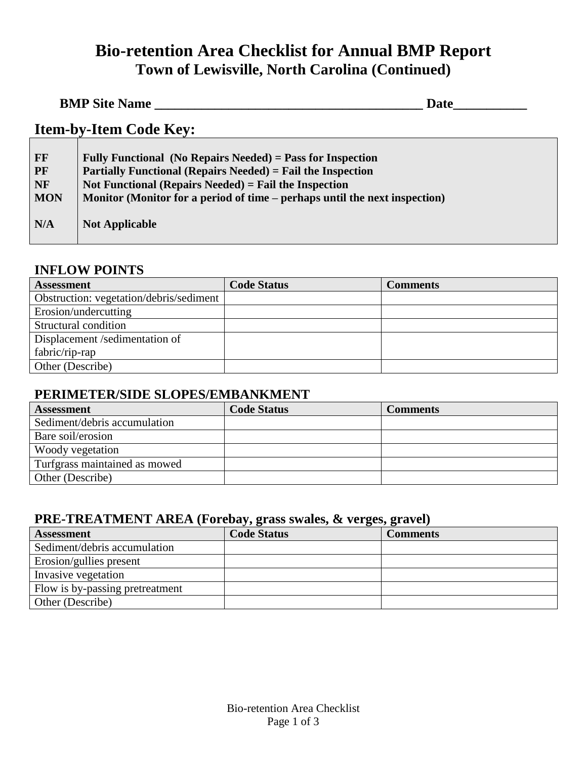# **Bio-retention Area Checklist for Annual BMP Report Town of Lewisville, North Carolina (Continued)**

| <b>BMP Site Name</b> | <b>Date</b> |  |
|----------------------|-------------|--|
|                      |             |  |

# **Item-by-Item Code Key:**

| FF<br><b>PF</b><br><b>NF</b> | Fully Functional (No Repairs Needed) = Pass for Inspection<br><b>Partially Functional (Repairs Needed)</b> = Fail the Inspection<br>Not Functional (Repairs Needed) $=$ Fail the Inspection |
|------------------------------|---------------------------------------------------------------------------------------------------------------------------------------------------------------------------------------------|
| <b>MON</b>                   | Monitor (Monitor for a period of time – perhaps until the next inspection)                                                                                                                  |
| N/A                          | <b>Not Applicable</b>                                                                                                                                                                       |

#### **INFLOW POINTS**

| <b>Assessment</b>                       | <b>Code Status</b> | <b>Comments</b> |
|-----------------------------------------|--------------------|-----------------|
| Obstruction: vegetation/debris/sediment |                    |                 |
| Erosion/undercutting                    |                    |                 |
| Structural condition                    |                    |                 |
| Displacement /sedimentation of          |                    |                 |
| fabric/rip-rap                          |                    |                 |
| Other (Describe)                        |                    |                 |

## **PERIMETER/SIDE SLOPES/EMBANKMENT**

| <b>Assessment</b>             | <b>Code Status</b> | <b>Comments</b> |
|-------------------------------|--------------------|-----------------|
| Sediment/debris accumulation  |                    |                 |
| Bare soil/erosion             |                    |                 |
| Woody vegetation              |                    |                 |
| Turfgrass maintained as mowed |                    |                 |
| Other (Describe)              |                    |                 |

## **PRE-TREATMENT AREA (Forebay, grass swales, & verges, gravel)**

| <b>Assessment</b>               | <b>Code Status</b> | <b>Comments</b> |
|---------------------------------|--------------------|-----------------|
| Sediment/debris accumulation    |                    |                 |
| Erosion/gullies present         |                    |                 |
| Invasive vegetation             |                    |                 |
| Flow is by-passing pretreatment |                    |                 |
| Other (Describe)                |                    |                 |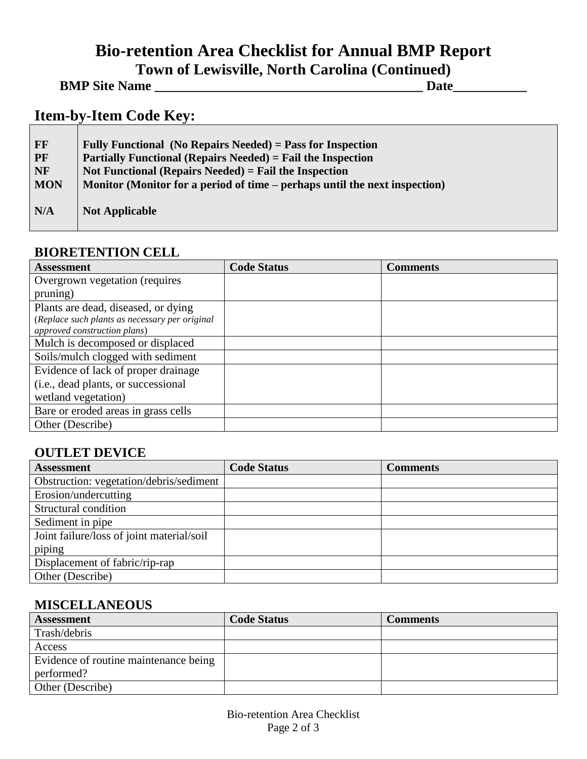# **Bio-retention Area Checklist for Annual BMP Report Town of Lewisville, North Carolina (Continued)**

| <b>BMP Site Name</b> | Date |
|----------------------|------|
|----------------------|------|

# **Item-by-Item Code Key:**

| <b>FF</b>  | Fully Functional (No Repairs Needed) = Pass for Inspection                 |
|------------|----------------------------------------------------------------------------|
| <b>PF</b>  | <b>Partially Functional (Repairs Needed) = Fail the Inspection</b>         |
| <b>NF</b>  | Not Functional (Repairs Needed) = Fail the Inspection                      |
| <b>MON</b> | Monitor (Monitor for a period of time – perhaps until the next inspection) |
| N/A        | <b>Not Applicable</b>                                                      |

#### **BIORETENTION CELL**

| <b>Assessment</b>                              | <b>Code Status</b> | <b>Comments</b> |
|------------------------------------------------|--------------------|-----------------|
| Overgrown vegetation (requires                 |                    |                 |
| pruning)                                       |                    |                 |
| Plants are dead, diseased, or dying            |                    |                 |
| (Replace such plants as necessary per original |                    |                 |
| approved construction plans)                   |                    |                 |
| Mulch is decomposed or displaced               |                    |                 |
| Soils/mulch clogged with sediment              |                    |                 |
| Evidence of lack of proper drainage            |                    |                 |
| (i.e., dead plants, or successional            |                    |                 |
| wetland vegetation)                            |                    |                 |
| Bare or eroded areas in grass cells            |                    |                 |
| Other (Describe)                               |                    |                 |

## **OUTLET DEVICE**

| <b>Assessment</b>                         | <b>Code Status</b> | <b>Comments</b> |
|-------------------------------------------|--------------------|-----------------|
| Obstruction: vegetation/debris/sediment   |                    |                 |
| Erosion/undercutting                      |                    |                 |
| Structural condition                      |                    |                 |
| Sediment in pipe                          |                    |                 |
| Joint failure/loss of joint material/soil |                    |                 |
| piping                                    |                    |                 |
| Displacement of fabric/rip-rap            |                    |                 |
| Other (Describe)                          |                    |                 |

#### **MISCELLANEOUS**

| <b>Assessment</b>                     | <b>Code Status</b> | <b>Comments</b> |
|---------------------------------------|--------------------|-----------------|
| Trash/debris                          |                    |                 |
| Access                                |                    |                 |
| Evidence of routine maintenance being |                    |                 |
| performed?                            |                    |                 |
| Other (Describe)                      |                    |                 |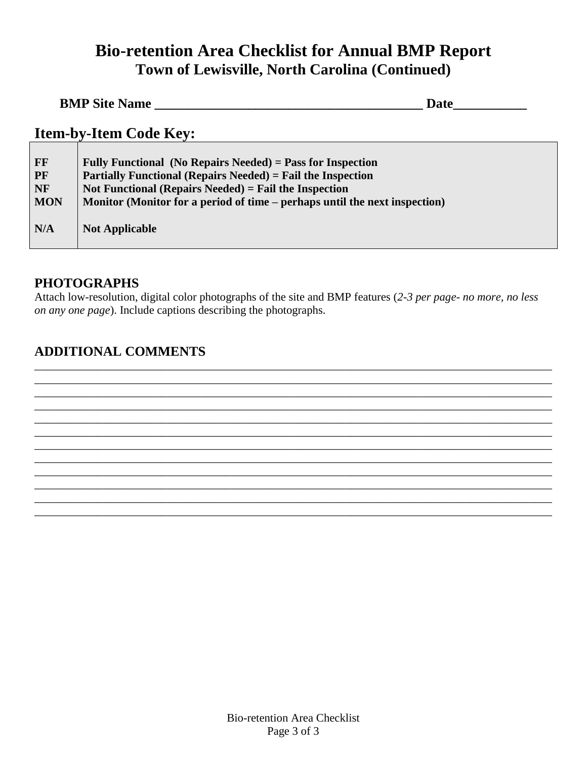# **Bio-retention Area Checklist for Annual BMP Report Town of Lewisville, North Carolina (Continued)**

| <b>BMP Site Name</b> | Date |  |
|----------------------|------|--|
|                      |      |  |

# **Item-by-Item Code Key:**

| FF<br><b>PF</b><br><b>NF</b> | Fully Functional (No Repairs Needed) = Pass for Inspection<br><b>Partially Functional (Repairs Needed) = Fail the Inspection</b><br>Not Functional (Repairs Needed) = Fail the Inspection |
|------------------------------|-------------------------------------------------------------------------------------------------------------------------------------------------------------------------------------------|
| <b>MON</b>                   | Monitor (Monitor for a period of time – perhaps until the next inspection)                                                                                                                |
| N/A                          | <b>Not Applicable</b>                                                                                                                                                                     |

#### **PHOTOGRAPHS**

Attach low-resolution, digital color photographs of the site and BMP features (*2-3 per page- no more, no less on any one page*). Include captions describing the photographs.

\_\_\_\_\_\_\_\_\_\_\_\_\_\_\_\_\_\_\_\_\_\_\_\_\_\_\_\_\_\_\_\_\_\_\_\_\_\_\_\_\_\_\_\_\_\_\_\_\_\_\_\_\_\_\_\_\_\_\_\_\_\_\_\_\_\_\_\_\_\_\_\_\_\_\_\_\_\_\_\_\_\_\_\_\_\_\_\_\_\_ \_\_\_\_\_\_\_\_\_\_\_\_\_\_\_\_\_\_\_\_\_\_\_\_\_\_\_\_\_\_\_\_\_\_\_\_\_\_\_\_\_\_\_\_\_\_\_\_\_\_\_\_\_\_\_\_\_\_\_\_\_\_\_\_\_\_\_\_\_\_\_\_\_\_\_\_\_\_\_\_\_\_\_\_\_\_\_\_\_\_ \_\_\_\_\_\_\_\_\_\_\_\_\_\_\_\_\_\_\_\_\_\_\_\_\_\_\_\_\_\_\_\_\_\_\_\_\_\_\_\_\_\_\_\_\_\_\_\_\_\_\_\_\_\_\_\_\_\_\_\_\_\_\_\_\_\_\_\_\_\_\_\_\_\_\_\_\_\_\_\_\_\_\_\_\_\_\_\_\_\_ \_\_\_\_\_\_\_\_\_\_\_\_\_\_\_\_\_\_\_\_\_\_\_\_\_\_\_\_\_\_\_\_\_\_\_\_\_\_\_\_\_\_\_\_\_\_\_\_\_\_\_\_\_\_\_\_\_\_\_\_\_\_\_\_\_\_\_\_\_\_\_\_\_\_\_\_\_\_\_\_\_\_\_\_\_\_\_\_\_\_ \_\_\_\_\_\_\_\_\_\_\_\_\_\_\_\_\_\_\_\_\_\_\_\_\_\_\_\_\_\_\_\_\_\_\_\_\_\_\_\_\_\_\_\_\_\_\_\_\_\_\_\_\_\_\_\_\_\_\_\_\_\_\_\_\_\_\_\_\_\_\_\_\_\_\_\_\_\_\_\_\_\_\_\_\_\_\_\_\_\_ \_\_\_\_\_\_\_\_\_\_\_\_\_\_\_\_\_\_\_\_\_\_\_\_\_\_\_\_\_\_\_\_\_\_\_\_\_\_\_\_\_\_\_\_\_\_\_\_\_\_\_\_\_\_\_\_\_\_\_\_\_\_\_\_\_\_\_\_\_\_\_\_\_\_\_\_\_\_\_\_\_\_\_\_\_\_\_\_\_\_ \_\_\_\_\_\_\_\_\_\_\_\_\_\_\_\_\_\_\_\_\_\_\_\_\_\_\_\_\_\_\_\_\_\_\_\_\_\_\_\_\_\_\_\_\_\_\_\_\_\_\_\_\_\_\_\_\_\_\_\_\_\_\_\_\_\_\_\_\_\_\_\_\_\_\_\_\_\_\_\_\_\_\_\_\_\_\_\_\_\_ \_\_\_\_\_\_\_\_\_\_\_\_\_\_\_\_\_\_\_\_\_\_\_\_\_\_\_\_\_\_\_\_\_\_\_\_\_\_\_\_\_\_\_\_\_\_\_\_\_\_\_\_\_\_\_\_\_\_\_\_\_\_\_\_\_\_\_\_\_\_\_\_\_\_\_\_\_\_\_\_\_\_\_\_\_\_\_\_\_\_ \_\_\_\_\_\_\_\_\_\_\_\_\_\_\_\_\_\_\_\_\_\_\_\_\_\_\_\_\_\_\_\_\_\_\_\_\_\_\_\_\_\_\_\_\_\_\_\_\_\_\_\_\_\_\_\_\_\_\_\_\_\_\_\_\_\_\_\_\_\_\_\_\_\_\_\_\_\_\_\_\_\_\_\_\_\_\_\_\_\_ \_\_\_\_\_\_\_\_\_\_\_\_\_\_\_\_\_\_\_\_\_\_\_\_\_\_\_\_\_\_\_\_\_\_\_\_\_\_\_\_\_\_\_\_\_\_\_\_\_\_\_\_\_\_\_\_\_\_\_\_\_\_\_\_\_\_\_\_\_\_\_\_\_\_\_\_\_\_\_\_\_\_\_\_\_\_\_\_\_\_ \_\_\_\_\_\_\_\_\_\_\_\_\_\_\_\_\_\_\_\_\_\_\_\_\_\_\_\_\_\_\_\_\_\_\_\_\_\_\_\_\_\_\_\_\_\_\_\_\_\_\_\_\_\_\_\_\_\_\_\_\_\_\_\_\_\_\_\_\_\_\_\_\_\_\_\_\_\_\_\_\_\_\_\_\_\_\_\_\_\_ \_\_\_\_\_\_\_\_\_\_\_\_\_\_\_\_\_\_\_\_\_\_\_\_\_\_\_\_\_\_\_\_\_\_\_\_\_\_\_\_\_\_\_\_\_\_\_\_\_\_\_\_\_\_\_\_\_\_\_\_\_\_\_\_\_\_\_\_\_\_\_\_\_\_\_\_\_\_\_\_\_\_\_\_\_\_\_\_\_\_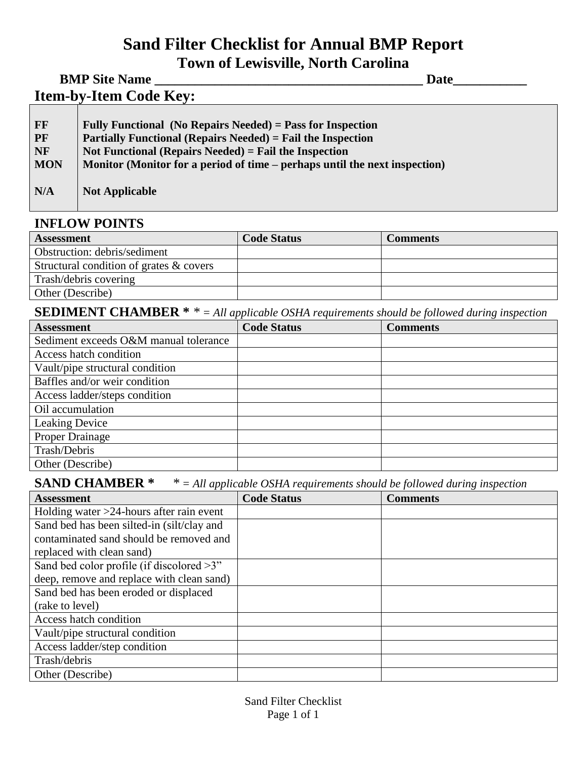# **Sand Filter Checklist for Annual BMP Report Town of Lewisville, North Carolina**

**BMP Site Name \_\_\_\_\_\_\_\_\_\_\_\_\_\_\_\_\_\_\_\_\_\_\_\_\_\_\_\_\_\_\_\_\_\_\_\_\_\_\_\_ Date\_\_\_\_\_\_\_\_\_\_\_**

**Item-by-Item Code Key:** 

| <b>FF</b>  | Fully Functional (No Repairs Needed) = Pass for Inspection                 |
|------------|----------------------------------------------------------------------------|
| <b>PF</b>  | <b>Partially Functional (Repairs Needed)</b> = Fail the Inspection         |
| <b>NF</b>  | Not Functional (Repairs Needed) = Fail the Inspection                      |
| <b>MON</b> | Monitor (Monitor for a period of time – perhaps until the next inspection) |
| N/A        | <b>Not Applicable</b>                                                      |

#### **INFLOW POINTS**

| <b>Assessment</b>                       | <b>Code Status</b> | <b>Comments</b> |
|-----------------------------------------|--------------------|-----------------|
| Obstruction: debris/sediment            |                    |                 |
| Structural condition of grates & covers |                    |                 |
| Trash/debris covering                   |                    |                 |
| Other (Describe)                        |                    |                 |

**SEDIMENT CHAMBER \*** *\* = All applicable OSHA requirements should be followed during inspection*

| <b>Assessment</b>                     | <b>Code Status</b> | <b>Comments</b> |
|---------------------------------------|--------------------|-----------------|
| Sediment exceeds O&M manual tolerance |                    |                 |
| Access hatch condition                |                    |                 |
| Vault/pipe structural condition       |                    |                 |
| Baffles and/or weir condition         |                    |                 |
| Access ladder/steps condition         |                    |                 |
| Oil accumulation                      |                    |                 |
| Leaking Device                        |                    |                 |
| <b>Proper Drainage</b>                |                    |                 |
| Trash/Debris                          |                    |                 |
| Other (Describe)                      |                    |                 |

#### **SAND CHAMBER \*** *\* = All applicable OSHA requirements should be followed during inspection*

| <b>Assessment</b>                            | <b>Code Status</b> | <b>Comments</b> |
|----------------------------------------------|--------------------|-----------------|
| Holding water $>24$ -hours after rain event  |                    |                 |
| Sand bed has been silted-in (silt/clay and   |                    |                 |
| contaminated sand should be removed and      |                    |                 |
| replaced with clean sand)                    |                    |                 |
| Sand bed color profile (if discolored $>3$ " |                    |                 |
| deep, remove and replace with clean sand)    |                    |                 |
| Sand bed has been eroded or displaced        |                    |                 |
| (rake to level)                              |                    |                 |
| Access hatch condition                       |                    |                 |
| Vault/pipe structural condition              |                    |                 |
| Access ladder/step condition                 |                    |                 |
| Trash/debris                                 |                    |                 |
| Other (Describe)                             |                    |                 |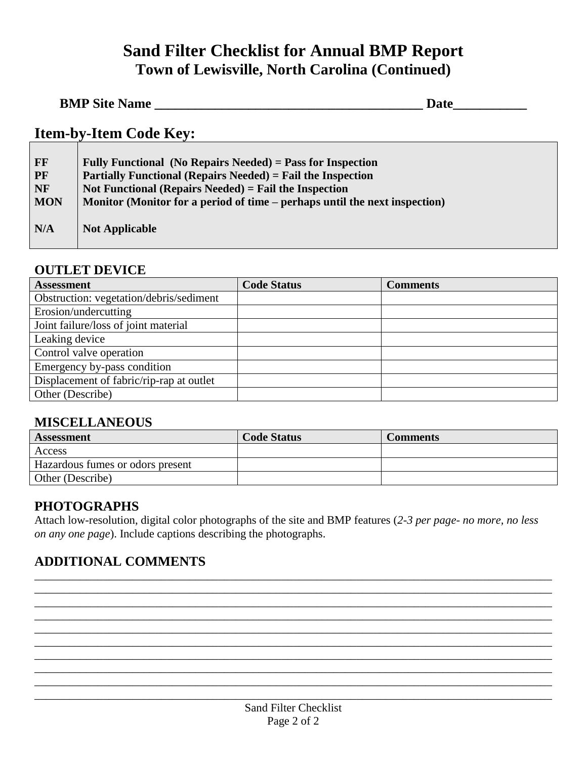# **Sand Filter Checklist for Annual BMP Report Town of Lewisville, North Carolina (Continued)**

| <b>BMP Site Name</b> | <b>Date</b> |  |
|----------------------|-------------|--|
|                      |             |  |

# **Item-by-Item Code Key:**

| FF         | Fully Functional (No Repairs Needed) = Pass for Inspection                 |
|------------|----------------------------------------------------------------------------|
| <b>PF</b>  | <b>Partially Functional (Repairs Needed)</b> = Fail the Inspection         |
| <b>NF</b>  | Not Functional (Repairs Needed) = Fail the Inspection                      |
| <b>MON</b> | Monitor (Monitor for a period of time – perhaps until the next inspection) |
|            |                                                                            |
| N/A        | <b>Not Applicable</b>                                                      |
|            |                                                                            |

#### **OUTLET DEVICE**

| <b>Assessment</b>                        | <b>Code Status</b> | <b>Comments</b> |
|------------------------------------------|--------------------|-----------------|
| Obstruction: vegetation/debris/sediment  |                    |                 |
| Erosion/undercutting                     |                    |                 |
| Joint failure/loss of joint material     |                    |                 |
| Leaking device                           |                    |                 |
| Control valve operation                  |                    |                 |
| Emergency by-pass condition              |                    |                 |
| Displacement of fabric/rip-rap at outlet |                    |                 |
| Other (Describe)                         |                    |                 |

#### **MISCELLANEOUS**

| Assessment                       | <b>Code Status</b> | Comments |
|----------------------------------|--------------------|----------|
| Access                           |                    |          |
| Hazardous fumes or odors present |                    |          |
| Other (Describe)                 |                    |          |

#### **PHOTOGRAPHS**

Attach low-resolution, digital color photographs of the site and BMP features (*2-3 per page- no more, no less on any one page*). Include captions describing the photographs.

\_\_\_\_\_\_\_\_\_\_\_\_\_\_\_\_\_\_\_\_\_\_\_\_\_\_\_\_\_\_\_\_\_\_\_\_\_\_\_\_\_\_\_\_\_\_\_\_\_\_\_\_\_\_\_\_\_\_\_\_\_\_\_\_\_\_\_\_\_\_\_\_\_\_\_\_\_\_\_\_\_\_\_\_\_\_\_\_\_\_ \_\_\_\_\_\_\_\_\_\_\_\_\_\_\_\_\_\_\_\_\_\_\_\_\_\_\_\_\_\_\_\_\_\_\_\_\_\_\_\_\_\_\_\_\_\_\_\_\_\_\_\_\_\_\_\_\_\_\_\_\_\_\_\_\_\_\_\_\_\_\_\_\_\_\_\_\_\_\_\_\_\_\_\_\_\_\_\_\_\_ \_\_\_\_\_\_\_\_\_\_\_\_\_\_\_\_\_\_\_\_\_\_\_\_\_\_\_\_\_\_\_\_\_\_\_\_\_\_\_\_\_\_\_\_\_\_\_\_\_\_\_\_\_\_\_\_\_\_\_\_\_\_\_\_\_\_\_\_\_\_\_\_\_\_\_\_\_\_\_\_\_\_\_\_\_\_\_\_\_\_ \_\_\_\_\_\_\_\_\_\_\_\_\_\_\_\_\_\_\_\_\_\_\_\_\_\_\_\_\_\_\_\_\_\_\_\_\_\_\_\_\_\_\_\_\_\_\_\_\_\_\_\_\_\_\_\_\_\_\_\_\_\_\_\_\_\_\_\_\_\_\_\_\_\_\_\_\_\_\_\_\_\_\_\_\_\_\_\_\_\_ \_\_\_\_\_\_\_\_\_\_\_\_\_\_\_\_\_\_\_\_\_\_\_\_\_\_\_\_\_\_\_\_\_\_\_\_\_\_\_\_\_\_\_\_\_\_\_\_\_\_\_\_\_\_\_\_\_\_\_\_\_\_\_\_\_\_\_\_\_\_\_\_\_\_\_\_\_\_\_\_\_\_\_\_\_\_\_\_\_\_ \_\_\_\_\_\_\_\_\_\_\_\_\_\_\_\_\_\_\_\_\_\_\_\_\_\_\_\_\_\_\_\_\_\_\_\_\_\_\_\_\_\_\_\_\_\_\_\_\_\_\_\_\_\_\_\_\_\_\_\_\_\_\_\_\_\_\_\_\_\_\_\_\_\_\_\_\_\_\_\_\_\_\_\_\_\_\_\_\_\_ \_\_\_\_\_\_\_\_\_\_\_\_\_\_\_\_\_\_\_\_\_\_\_\_\_\_\_\_\_\_\_\_\_\_\_\_\_\_\_\_\_\_\_\_\_\_\_\_\_\_\_\_\_\_\_\_\_\_\_\_\_\_\_\_\_\_\_\_\_\_\_\_\_\_\_\_\_\_\_\_\_\_\_\_\_\_\_\_\_\_ \_\_\_\_\_\_\_\_\_\_\_\_\_\_\_\_\_\_\_\_\_\_\_\_\_\_\_\_\_\_\_\_\_\_\_\_\_\_\_\_\_\_\_\_\_\_\_\_\_\_\_\_\_\_\_\_\_\_\_\_\_\_\_\_\_\_\_\_\_\_\_\_\_\_\_\_\_\_\_\_\_\_\_\_\_\_\_\_\_\_ \_\_\_\_\_\_\_\_\_\_\_\_\_\_\_\_\_\_\_\_\_\_\_\_\_\_\_\_\_\_\_\_\_\_\_\_\_\_\_\_\_\_\_\_\_\_\_\_\_\_\_\_\_\_\_\_\_\_\_\_\_\_\_\_\_\_\_\_\_\_\_\_\_\_\_\_\_\_\_\_\_\_\_\_\_\_\_\_\_\_ \_\_\_\_\_\_\_\_\_\_\_\_\_\_\_\_\_\_\_\_\_\_\_\_\_\_\_\_\_\_\_\_\_\_\_\_\_\_\_\_\_\_\_\_\_\_\_\_\_\_\_\_\_\_\_\_\_\_\_\_\_\_\_\_\_\_\_\_\_\_\_\_\_\_\_\_\_\_\_\_\_\_\_\_\_\_\_\_\_\_